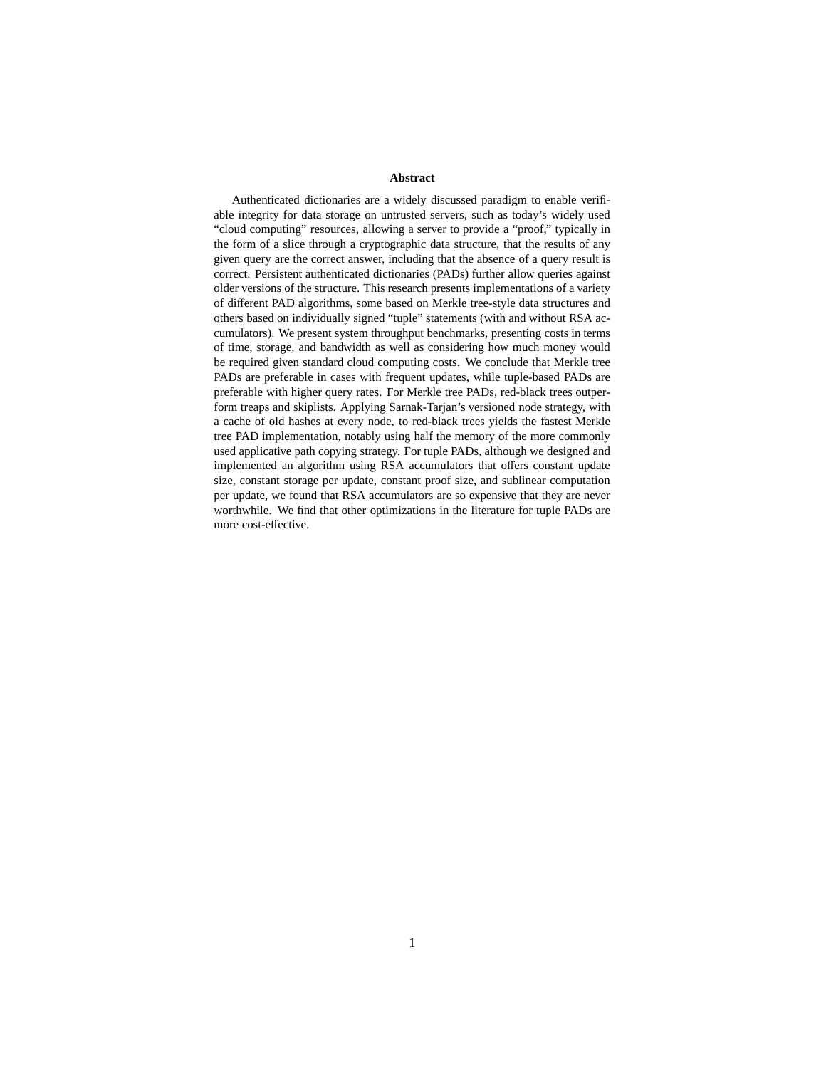#### **Abstract**

Authenticated dictionaries are a widely discussed paradigm to enable verifiable integrity for data storage on untrusted servers, such as today's widely used "cloud computing" resources, allowing a server to provide a "proof," typically in the form of a slice through a cryptographic data structure, that the results of any given query are the correct answer, including that the absence of a query result is correct. Persistent authenticated dictionaries (PADs) further allow queries against older versions of the structure. This research presents implementations of a variety of different PAD algorithms, some based on Merkle tree-style data structures and others based on individually signed "tuple" statements (with and without RSA accumulators). We present system throughput benchmarks, presenting costs in terms of time, storage, and bandwidth as well as considering how much money would be required given standard cloud computing costs. We conclude that Merkle tree PADs are preferable in cases with frequent updates, while tuple-based PADs are preferable with higher query rates. For Merkle tree PADs, red-black trees outperform treaps and skiplists. Applying Sarnak-Tarjan's versioned node strategy, with a cache of old hashes at every node, to red-black trees yields the fastest Merkle tree PAD implementation, notably using half the memory of the more commonly used applicative path copying strategy. For tuple PADs, although we designed and implemented an algorithm using RSA accumulators that offers constant update size, constant storage per update, constant proof size, and sublinear computation per update, we found that RSA accumulators are so expensive that they are never worthwhile. We find that other optimizations in the literature for tuple PADs are more cost-effective.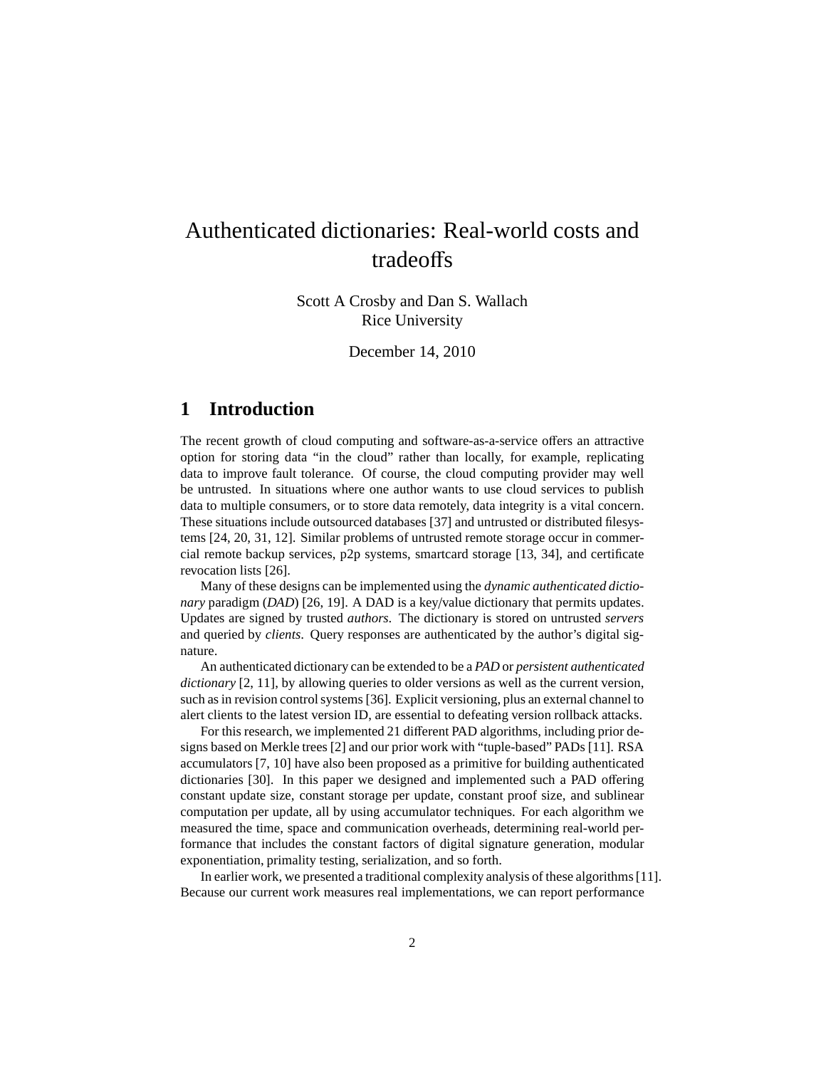# Authenticated dictionaries: Real-world costs and tradeoffs

Scott A Crosby and Dan S. Wallach Rice University

December 14, 2010

# **1 Introduction**

The recent growth of cloud computing and software-as-a-service offers an attractive option for storing data "in the cloud" rather than locally, for example, replicating data to improve fault tolerance. Of course, the cloud computing provider may well be untrusted. In situations where one author wants to use cloud services to publish data to multiple consumers, or to store data remotely, data integrity is a vital concern. These situations include outsourced databases [37] and untrusted or distributed filesystems [24, 20, 31, 12]. Similar problems of untrusted remote storage occur in commercial remote backup services, p2p systems, smartcard storage [13, 34], and certificate revocation lists [26].

Many of these designs can be implemented using the *dynamic authenticated dictionary* paradigm (*DAD*) [26, 19]. A DAD is a key/value dictionary that permits updates. Updates are signed by trusted *authors*. The dictionary is stored on untrusted *servers* and queried by *clients*. Query responses are authenticated by the author's digital signature.

An authenticated dictionary can be extended to be a *PAD* or *persistent authenticated dictionary* [2, 11], by allowing queries to older versions as well as the current version, such as in revision control systems [36]. Explicit versioning, plus an external channel to alert clients to the latest version ID, are essential to defeating version rollback attacks.

For this research, we implemented 21 different PAD algorithms, including prior designs based on Merkle trees [2] and our prior work with "tuple-based" PADs [11]. RSA accumulators [7, 10] have also been proposed as a primitive for building authenticated dictionaries [30]. In this paper we designed and implemented such a PAD offering constant update size, constant storage per update, constant proof size, and sublinear computation per update, all by using accumulator techniques. For each algorithm we measured the time, space and communication overheads, determining real-world performance that includes the constant factors of digital signature generation, modular exponentiation, primality testing, serialization, and so forth.

In earlier work, we presented a traditional complexity analysis of these algorithms [11]. Because our current work measures real implementations, we can report performance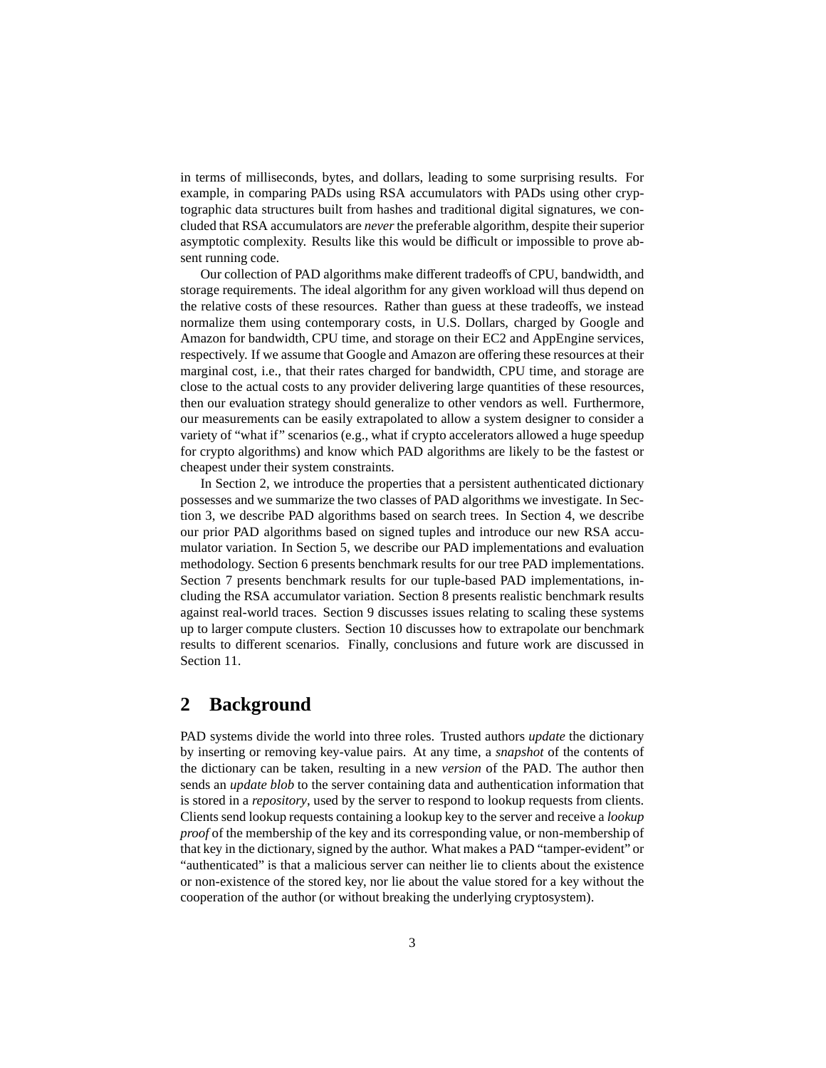in terms of milliseconds, bytes, and dollars, leading to some surprising results. For example, in comparing PADs using RSA accumulators with PADs using other cryptographic data structures built from hashes and traditional digital signatures, we concluded that RSA accumulators are *never*the preferable algorithm, despite their superior asymptotic complexity. Results like this would be difficult or impossible to prove absent running code.

Our collection of PAD algorithms make different tradeoffs of CPU, bandwidth, and storage requirements. The ideal algorithm for any given workload will thus depend on the relative costs of these resources. Rather than guess at these tradeoffs, we instead normalize them using contemporary costs, in U.S. Dollars, charged by Google and Amazon for bandwidth, CPU time, and storage on their EC2 and AppEngine services, respectively. If we assume that Google and Amazon are offering these resources at their marginal cost, i.e., that their rates charged for bandwidth, CPU time, and storage are close to the actual costs to any provider delivering large quantities of these resources, then our evaluation strategy should generalize to other vendors as well. Furthermore, our measurements can be easily extrapolated to allow a system designer to consider a variety of "what if" scenarios (e.g., what if crypto accelerators allowed a huge speedup for crypto algorithms) and know which PAD algorithms are likely to be the fastest or cheapest under their system constraints.

In Section 2, we introduce the properties that a persistent authenticated dictionary possesses and we summarize the two classes of PAD algorithms we investigate. In Section 3, we describe PAD algorithms based on search trees. In Section 4, we describe our prior PAD algorithms based on signed tuples and introduce our new RSA accumulator variation. In Section 5, we describe our PAD implementations and evaluation methodology. Section 6 presents benchmark results for our tree PAD implementations. Section 7 presents benchmark results for our tuple-based PAD implementations, including the RSA accumulator variation. Section 8 presents realistic benchmark results against real-world traces. Section 9 discusses issues relating to scaling these systems up to larger compute clusters. Section 10 discusses how to extrapolate our benchmark results to different scenarios. Finally, conclusions and future work are discussed in Section 11.

# **2 Background**

PAD systems divide the world into three roles. Trusted authors *update* the dictionary by inserting or removing key-value pairs. At any time, a *snapshot* of the contents of the dictionary can be taken, resulting in a new *version* of the PAD. The author then sends an *update blob* to the server containing data and authentication information that is stored in a *repository*, used by the server to respond to lookup requests from clients. Clients send lookup requests containing a lookup key to the server and receive a *lookup proof* of the membership of the key and its corresponding value, or non-membership of that key in the dictionary, signed by the author. What makes a PAD "tamper-evident" or "authenticated" is that a malicious server can neither lie to clients about the existence or non-existence of the stored key, nor lie about the value stored for a key without the cooperation of the author (or without breaking the underlying cryptosystem).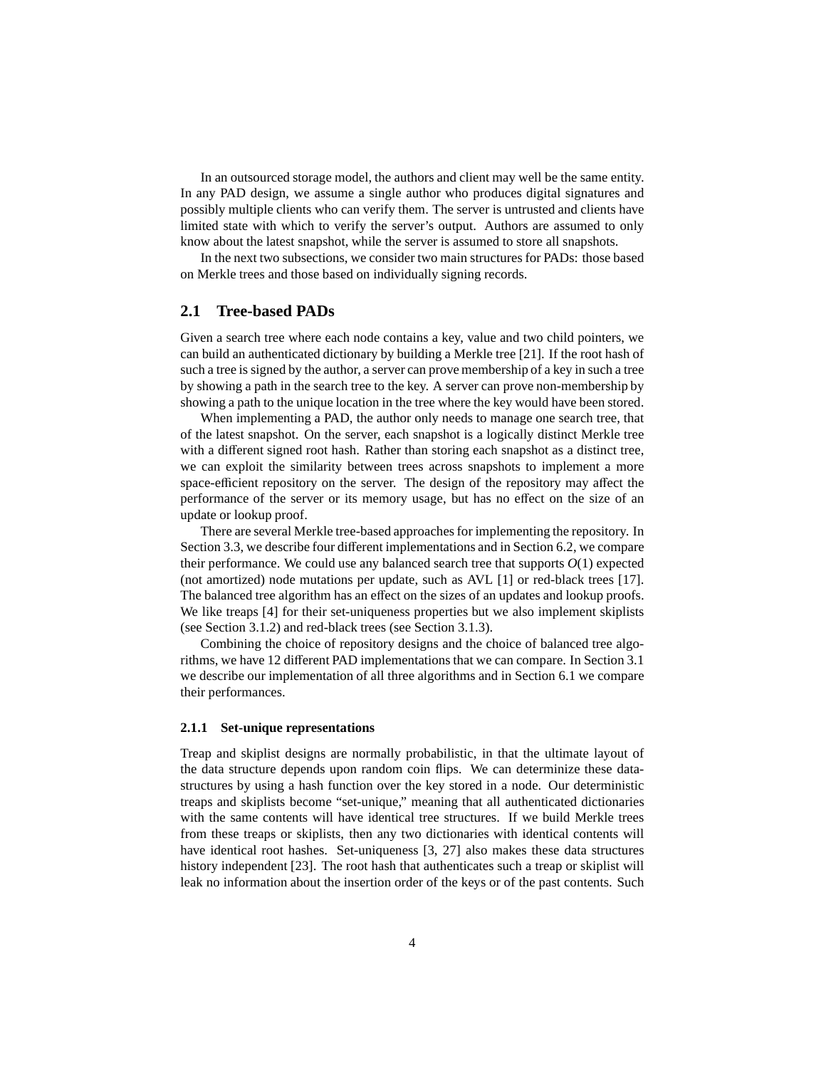In an outsourced storage model, the authors and client may well be the same entity. In any PAD design, we assume a single author who produces digital signatures and possibly multiple clients who can verify them. The server is untrusted and clients have limited state with which to verify the server's output. Authors are assumed to only know about the latest snapshot, while the server is assumed to store all snapshots.

In the next two subsections, we consider two main structuresfor PADs: those based on Merkle trees and those based on individually signing records.

### **2.1 Tree-based PADs**

Given a search tree where each node contains a key, value and two child pointers, we can build an authenticated dictionary by building a Merkle tree [21]. If the root hash of such a tree is signed by the author, a server can prove membership of a key in such a tree by showing a path in the search tree to the key. A server can prove non-membership by showing a path to the unique location in the tree where the key would have been stored.

When implementing a PAD, the author only needs to manage one search tree, that of the latest snapshot. On the server, each snapshot is a logically distinct Merkle tree with a different signed root hash. Rather than storing each snapshot as a distinct tree, we can exploit the similarity between trees across snapshots to implement a more space-efficient repository on the server. The design of the repository may affect the performance of the server or its memory usage, but has no effect on the size of an update or lookup proof.

There are several Merkle tree-based approaches for implementing the repository. In Section 3.3, we describe four different implementations and in Section 6.2, we compare their performance. We could use any balanced search tree that supports  $O(1)$  expected (not amortized) node mutations per update, such as AVL [1] or red-black trees [17]. The balanced tree algorithm has an effect on the sizes of an updates and lookup proofs. We like treaps [4] for their set-uniqueness properties but we also implement skiplists (see Section 3.1.2) and red-black trees (see Section 3.1.3).

Combining the choice of repository designs and the choice of balanced tree algorithms, we have 12 different PAD implementations that we can compare. In Section 3.1 we describe our implementation of all three algorithms and in Section 6.1 we compare their performances.

#### **2.1.1 Set-unique representations**

Treap and skiplist designs are normally probabilistic, in that the ultimate layout of the data structure depends upon random coin flips. We can determinize these datastructures by using a hash function over the key stored in a node. Our deterministic treaps and skiplists become "set-unique," meaning that all authenticated dictionaries with the same contents will have identical tree structures. If we build Merkle trees from these treaps or skiplists, then any two dictionaries with identical contents will have identical root hashes. Set-uniqueness [3, 27] also makes these data structures history independent [23]. The root hash that authenticates such a treap or skiplist will leak no information about the insertion order of the keys or of the past contents. Such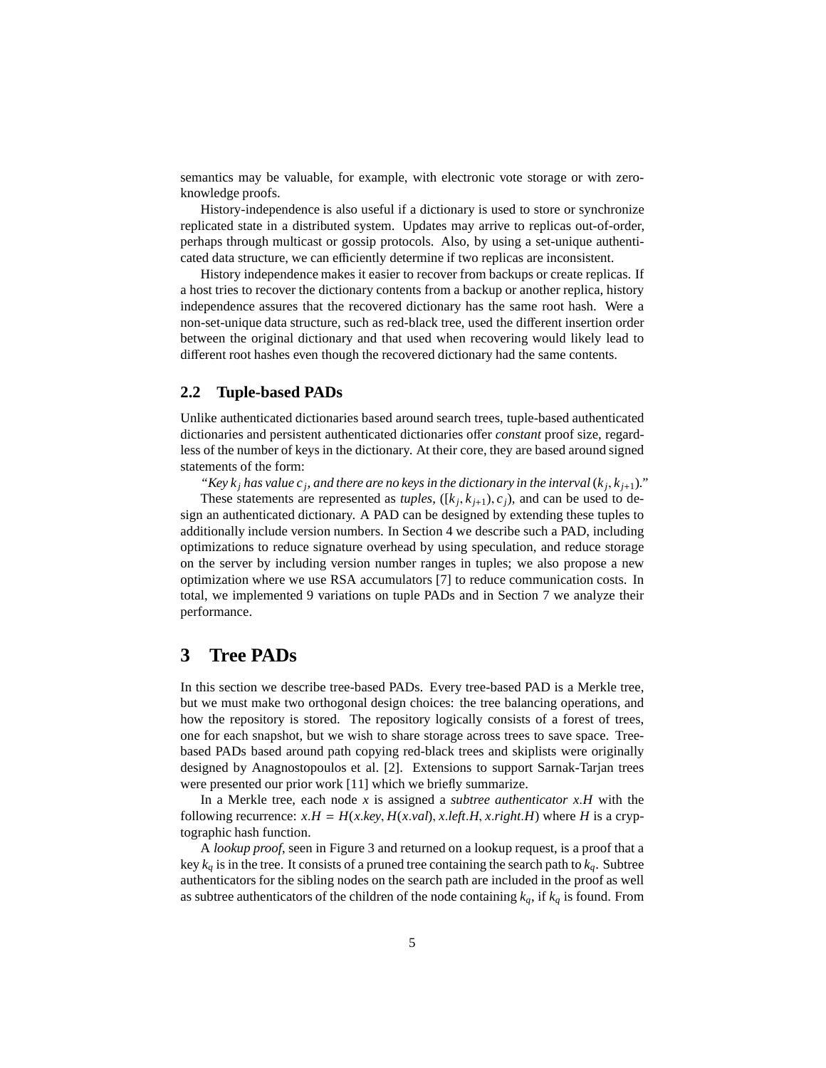semantics may be valuable, for example, with electronic vote storage or with zeroknowledge proofs.

History-independence is also useful if a dictionary is used to store or synchronize replicated state in a distributed system. Updates may arrive to replicas out-of-order, perhaps through multicast or gossip protocols. Also, by using a set-unique authenticated data structure, we can efficiently determine if two replicas are inconsistent.

History independence makes it easier to recover from backups or create replicas. If a host tries to recover the dictionary contents from a backup or another replica, history independence assures that the recovered dictionary has the same root hash. Were a non-set-unique data structure, such as red-black tree, used the different insertion order between the original dictionary and that used when recovering would likely lead to different root hashes even though the recovered dictionary had the same contents.

### **2.2 Tuple-based PADs**

Unlike authenticated dictionaries based around search trees, tuple-based authenticated dictionaries and persistent authenticated dictionaries offer *constant* proof size, regardless of the number of keys in the dictionary. At their core, they are based around signed statements of the form:

"*Key*  $k_j$  *has value c<sub>j</sub>, and there are no keys in the dictionary in the interval*  $(k_j, k_{j+1})$ ." These statements are represented as *tuples*,  $([k_j, k_{j+1}), c_j)$ , and can be used to design an authenticated dictionary. A PAD can be designed by extending these tuples to additionally include version numbers. In Section 4 we describe such a PAD, including optimizations to reduce signature overhead by using speculation, and reduce storage on the server by including version number ranges in tuples; we also propose a new optimization where we use RSA accumulators [7] to reduce communication costs. In total, we implemented 9 variations on tuple PADs and in Section 7 we analyze their performance.

# **3 Tree PADs**

In this section we describe tree-based PADs. Every tree-based PAD is a Merkle tree, but we must make two orthogonal design choices: the tree balancing operations, and how the repository is stored. The repository logically consists of a forest of trees, one for each snapshot, but we wish to share storage across trees to save space. Treebased PADs based around path copying red-black trees and skiplists were originally designed by Anagnostopoulos et al. [2]. Extensions to support Sarnak-Tarjan trees were presented our prior work [11] which we briefly summarize.

In a Merkle tree, each node *x* is assigned a *subtree authenticator x*.*H* with the following recurrence:  $x.H = H(x.key, H(x.val), x.left.H, x.right.H)$  where *H* is a cryptographic hash function.

A *lookup proof*, seen in Figure 3 and returned on a lookup request, is a proof that a key  $k_q$  is in the tree. It consists of a pruned tree containing the search path to  $k_q$ . Subtree authenticators for the sibling nodes on the search path are included in the proof as well as subtree authenticators of the children of the node containing  $k_q$ , if  $k_q$  is found. From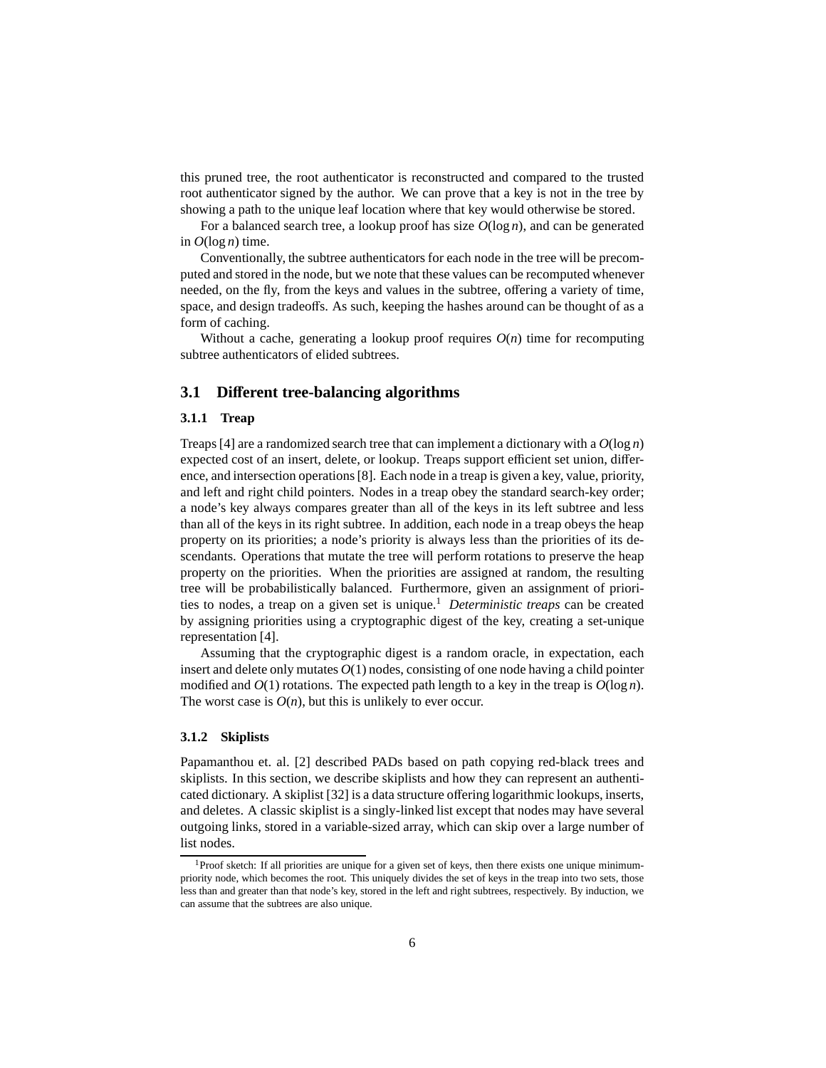this pruned tree, the root authenticator is reconstructed and compared to the trusted root authenticator signed by the author. We can prove that a key is not in the tree by showing a path to the unique leaf location where that key would otherwise be stored.

For a balanced search tree, a lookup proof has size *O*(log *n*), and can be generated in  $O(\log n)$  time.

Conventionally, the subtree authenticators for each node in the tree will be precomputed and stored in the node, but we note that these values can be recomputed whenever needed, on the fly, from the keys and values in the subtree, offering a variety of time, space, and design tradeoffs. As such, keeping the hashes around can be thought of as a form of caching.

Without a cache, generating a lookup proof requires  $O(n)$  time for recomputing subtree authenticators of elided subtrees.

### **3.1 Di**ff**erent tree-balancing algorithms**

#### **3.1.1 Treap**

Treaps [4] are a randomized search tree that can implement a dictionary with a  $O(\log n)$ expected cost of an insert, delete, or lookup. Treaps support efficient set union, difference, and intersection operations [8]. Each node in a treap is given a key, value, priority, and left and right child pointers. Nodes in a treap obey the standard search-key order; a node's key always compares greater than all of the keys in its left subtree and less than all of the keys in its right subtree. In addition, each node in a treap obeys the heap property on its priorities; a node's priority is always less than the priorities of its descendants. Operations that mutate the tree will perform rotations to preserve the heap property on the priorities. When the priorities are assigned at random, the resulting tree will be probabilistically balanced. Furthermore, given an assignment of priorities to nodes, a treap on a given set is unique.<sup>1</sup> *Deterministic treaps* can be created by assigning priorities using a cryptographic digest of the key, creating a set-unique representation [4].

Assuming that the cryptographic digest is a random oracle, in expectation, each insert and delete only mutates *O*(1) nodes, consisting of one node having a child pointer modified and  $O(1)$  rotations. The expected path length to a key in the treap is  $O(\log n)$ . The worst case is  $O(n)$ , but this is unlikely to ever occur.

#### **3.1.2 Skiplists**

Papamanthou et. al. [2] described PADs based on path copying red-black trees and skiplists. In this section, we describe skiplists and how they can represent an authenticated dictionary. A skiplist [32] is a data structure offering logarithmic lookups, inserts, and deletes. A classic skiplist is a singly-linked list except that nodes may have several outgoing links, stored in a variable-sized array, which can skip over a large number of list nodes.

<sup>&</sup>lt;sup>1</sup>Proof sketch: If all priorities are unique for a given set of keys, then there exists one unique minimumpriority node, which becomes the root. This uniquely divides the set of keys in the treap into two sets, those less than and greater than that node's key, stored in the left and right subtrees, respectively. By induction, we can assume that the subtrees are also unique.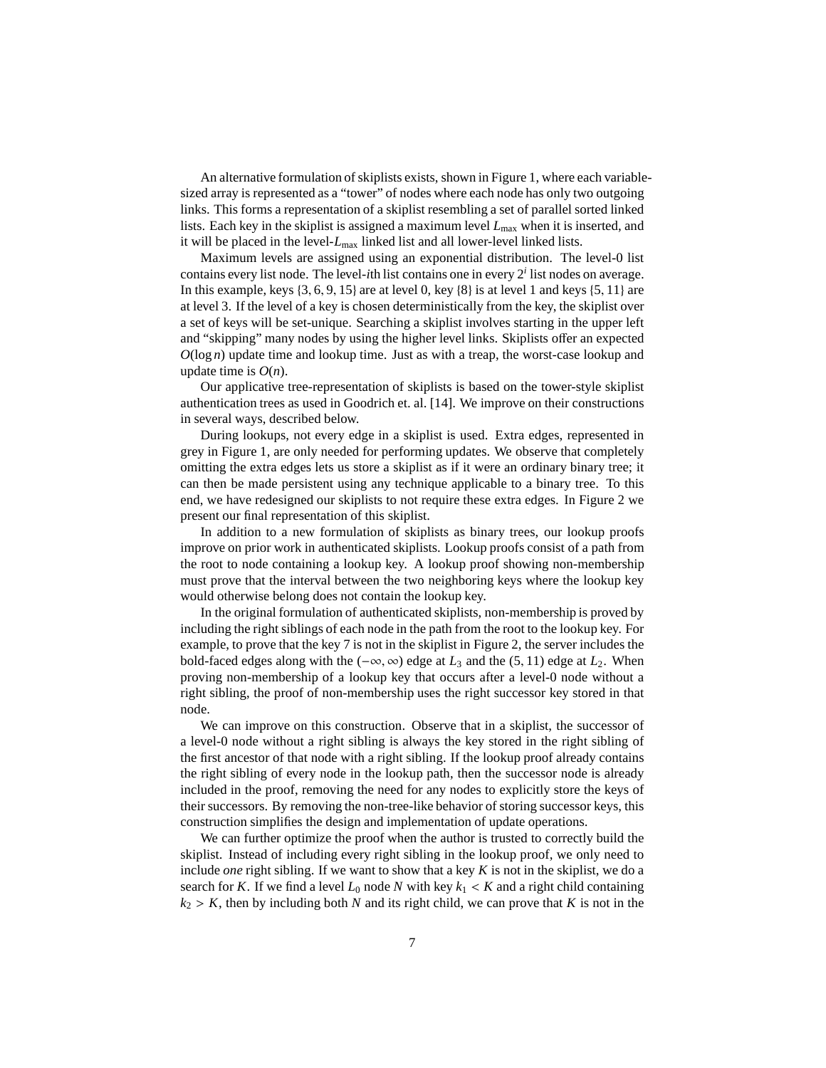An alternative formulation of skiplists exists, shown in Figure 1, where each variablesized array is represented as a "tower" of nodes where each node has only two outgoing links. This forms a representation of a skiplist resembling a set of parallel sorted linked lists. Each key in the skiplist is assigned a maximum level  $L_{\text{max}}$  when it is inserted, and it will be placed in the level-*L*max linked list and all lower-level linked lists.

Maximum levels are assigned using an exponential distribution. The level-0 list contains every list node. The level-*i*th list contains one in every 2*<sup>i</sup>* list nodes on average. In this example, keys  $\{3, 6, 9, 15\}$  are at level 0, key  $\{8\}$  is at level 1 and keys  $\{5, 11\}$  are at level 3. If the level of a key is chosen deterministically from the key, the skiplist over a set of keys will be set-unique. Searching a skiplist involves starting in the upper left and "skipping" many nodes by using the higher level links. Skiplists offer an expected *O*(log *n*) update time and lookup time. Just as with a treap, the worst-case lookup and update time is  $O(n)$ .

Our applicative tree-representation of skiplists is based on the tower-style skiplist authentication trees as used in Goodrich et. al. [14]. We improve on their constructions in several ways, described below.

During lookups, not every edge in a skiplist is used. Extra edges, represented in grey in Figure 1, are only needed for performing updates. We observe that completely omitting the extra edges lets us store a skiplist as if it were an ordinary binary tree; it can then be made persistent using any technique applicable to a binary tree. To this end, we have redesigned our skiplists to not require these extra edges. In Figure 2 we present our final representation of this skiplist.

In addition to a new formulation of skiplists as binary trees, our lookup proofs improve on prior work in authenticated skiplists. Lookup proofs consist of a path from the root to node containing a lookup key. A lookup proof showing non-membership must prove that the interval between the two neighboring keys where the lookup key would otherwise belong does not contain the lookup key.

In the original formulation of authenticated skiplists, non-membership is proved by including the right siblings of each node in the path from the root to the lookup key. For example, to prove that the key 7 is not in the skiplist in Figure 2, the server includes the bold-faced edges along with the  $(-\infty, \infty)$  edge at  $L_3$  and the (5, 11) edge at  $L_2$ . When proving non-membership of a lookup key that occurs after a level-0 node without a right sibling, the proof of non-membership uses the right successor key stored in that node.

We can improve on this construction. Observe that in a skiplist, the successor of a level-0 node without a right sibling is always the key stored in the right sibling of the first ancestor of that node with a right sibling. If the lookup proof already contains the right sibling of every node in the lookup path, then the successor node is already included in the proof, removing the need for any nodes to explicitly store the keys of their successors. By removing the non-tree-like behavior of storing successor keys, this construction simplifies the design and implementation of update operations.

We can further optimize the proof when the author is trusted to correctly build the skiplist. Instead of including every right sibling in the lookup proof, we only need to include *one* right sibling. If we want to show that a key *K* is not in the skiplist, we do a search for *K*. If we find a level  $L_0$  node *N* with key  $k_1 < K$  and a right child containing  $k_2 > K$ , then by including both *N* and its right child, we can prove that *K* is not in the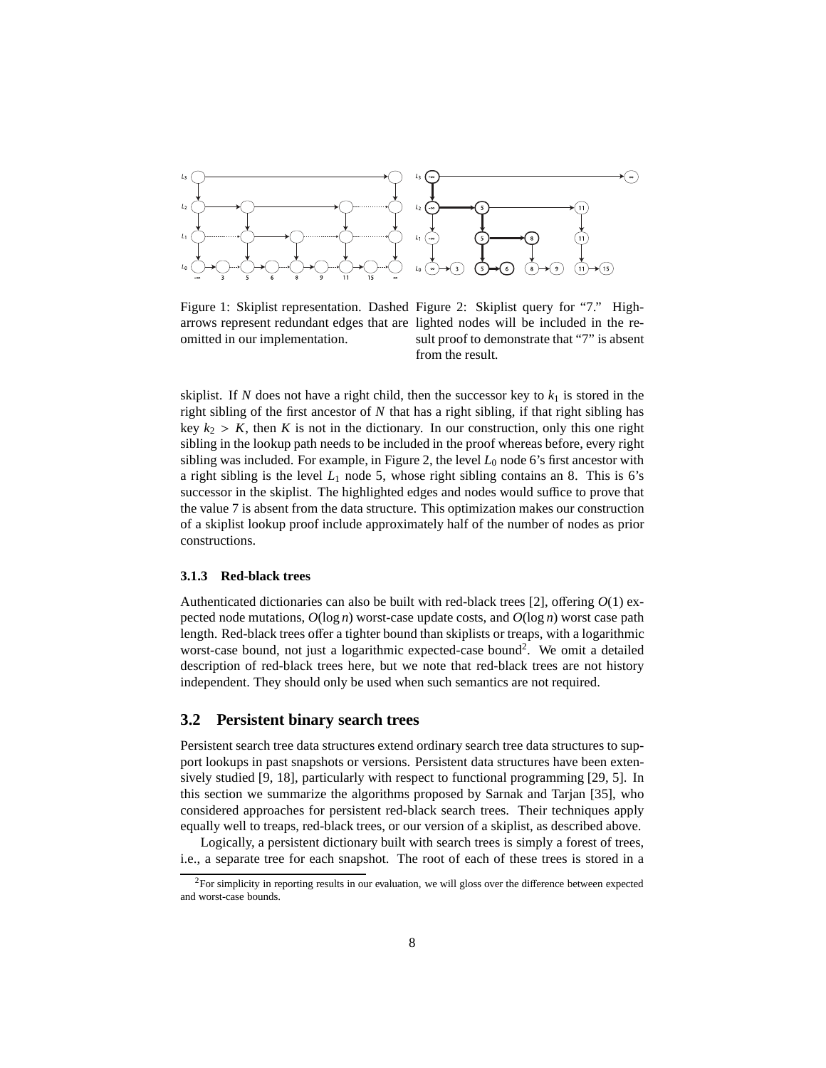

Figure 1: Skiplist representation. Dashed Figure 2: Skiplist query for "7." Higharrows represent redundant edges that are lighted nodes will be included in the reomitted in our implementation. sult proof to demonstrate that "7" is absent from the result.

skiplist. If *N* does not have a right child, then the successor key to  $k_1$  is stored in the right sibling of the first ancestor of *N* that has a right sibling, if that right sibling has key  $k_2 > K$ , then K is not in the dictionary. In our construction, only this one right sibling in the lookup path needs to be included in the proof whereas before, every right sibling was included. For example, in Figure 2, the level  $L_0$  node 6's first ancestor with a right sibling is the level  $L_1$  node 5, whose right sibling contains an 8. This is 6's successor in the skiplist. The highlighted edges and nodes would suffice to prove that the value 7 is absent from the data structure. This optimization makes our construction of a skiplist lookup proof include approximately half of the number of nodes as prior constructions.

#### **3.1.3 Red-black trees**

Authenticated dictionaries can also be built with red-black trees [2], offering *O*(1) expected node mutations,  $O(\log n)$  worst-case update costs, and  $O(\log n)$  worst case path length. Red-black trees offer a tighter bound than skiplists or treaps, with a logarithmic worst-case bound, not just a logarithmic expected-case bound<sup>2</sup>. We omit a detailed description of red-black trees here, but we note that red-black trees are not history independent. They should only be used when such semantics are not required.

#### **3.2 Persistent binary search trees**

Persistent search tree data structures extend ordinary search tree data structures to support lookups in past snapshots or versions. Persistent data structures have been extensively studied [9, 18], particularly with respect to functional programming [29, 5]. In this section we summarize the algorithms proposed by Sarnak and Tarjan [35], who considered approaches for persistent red-black search trees. Their techniques apply equally well to treaps, red-black trees, or our version of a skiplist, as described above.

Logically, a persistent dictionary built with search trees is simply a forest of trees, i.e., a separate tree for each snapshot. The root of each of these trees is stored in a

 ${}^{2}$ For simplicity in reporting results in our evaluation, we will gloss over the difference between expected and worst-case bounds.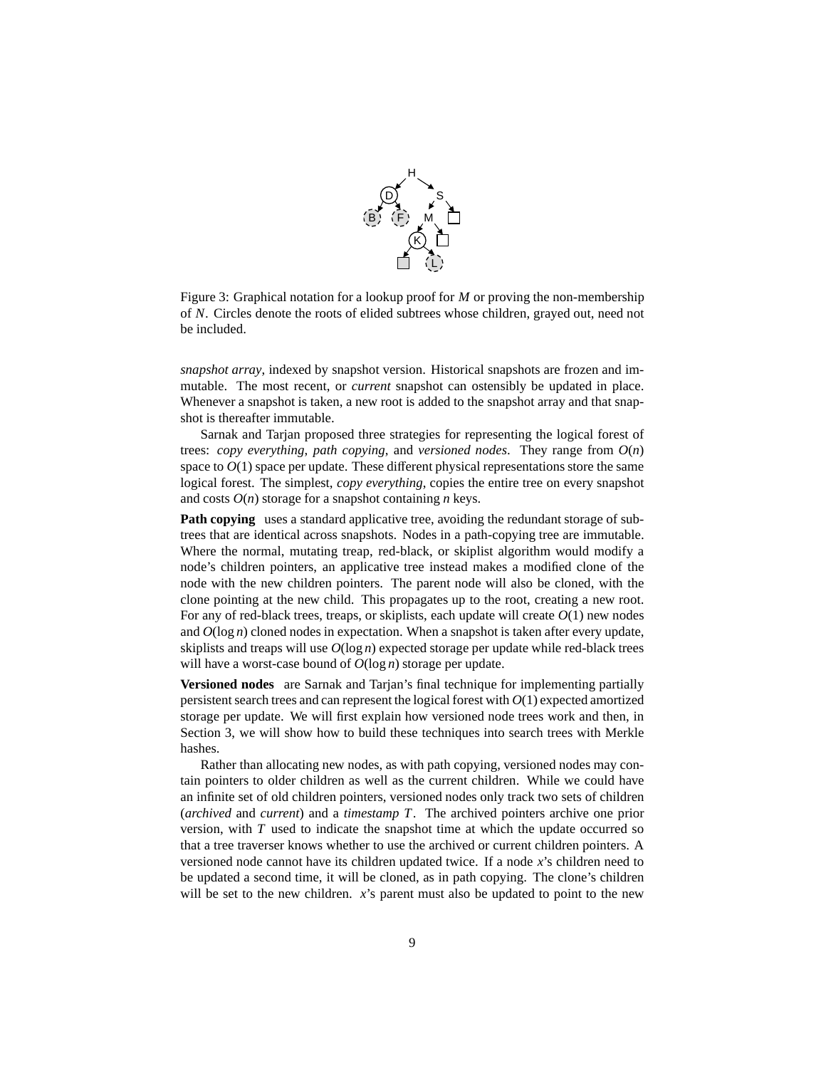

Figure 3: Graphical notation for a lookup proof for *M* or proving the non-membership of *N*. Circles denote the roots of elided subtrees whose children, grayed out, need not be included.

*snapshot array*, indexed by snapshot version. Historical snapshots are frozen and immutable. The most recent, or *current* snapshot can ostensibly be updated in place. Whenever a snapshot is taken, a new root is added to the snapshot array and that snapshot is thereafter immutable.

Sarnak and Tarjan proposed three strategies for representing the logical forest of trees: *copy everything*, *path copying*, and *versioned nodes*. They range from  $O(n)$ space to  $O(1)$  space per update. These different physical representations store the same logical forest. The simplest, *copy everything*, copies the entire tree on every snapshot and costs *O*(*n*) storage for a snapshot containing *n* keys.

**Path copying** uses a standard applicative tree, avoiding the redundant storage of subtrees that are identical across snapshots. Nodes in a path-copying tree are immutable. Where the normal, mutating treap, red-black, or skiplist algorithm would modify a node's children pointers, an applicative tree instead makes a modified clone of the node with the new children pointers. The parent node will also be cloned, with the clone pointing at the new child. This propagates up to the root, creating a new root. For any of red-black trees, treaps, or skiplists, each update will create *O*(1) new nodes and  $O(\log n)$  cloned nodes in expectation. When a snapshot is taken after every update, skiplists and treaps will use *O*(log *n*) expected storage per update while red-black trees will have a worst-case bound of *O*(log *n*) storage per update.

**Versioned nodes** are Sarnak and Tarjan's final technique for implementing partially persistent search trees and can represent the logical forest with *O*(1) expected amortized storage per update. We will first explain how versioned node trees work and then, in Section 3, we will show how to build these techniques into search trees with Merkle hashes.

Rather than allocating new nodes, as with path copying, versioned nodes may contain pointers to older children as well as the current children. While we could have an infinite set of old children pointers, versioned nodes only track two sets of children (*archived* and *current*) and a *timestamp T*. The archived pointers archive one prior version, with *T* used to indicate the snapshot time at which the update occurred so that a tree traverser knows whether to use the archived or current children pointers. A versioned node cannot have its children updated twice. If a node *x*'s children need to be updated a second time, it will be cloned, as in path copying. The clone's children will be set to the new children. *x*'s parent must also be updated to point to the new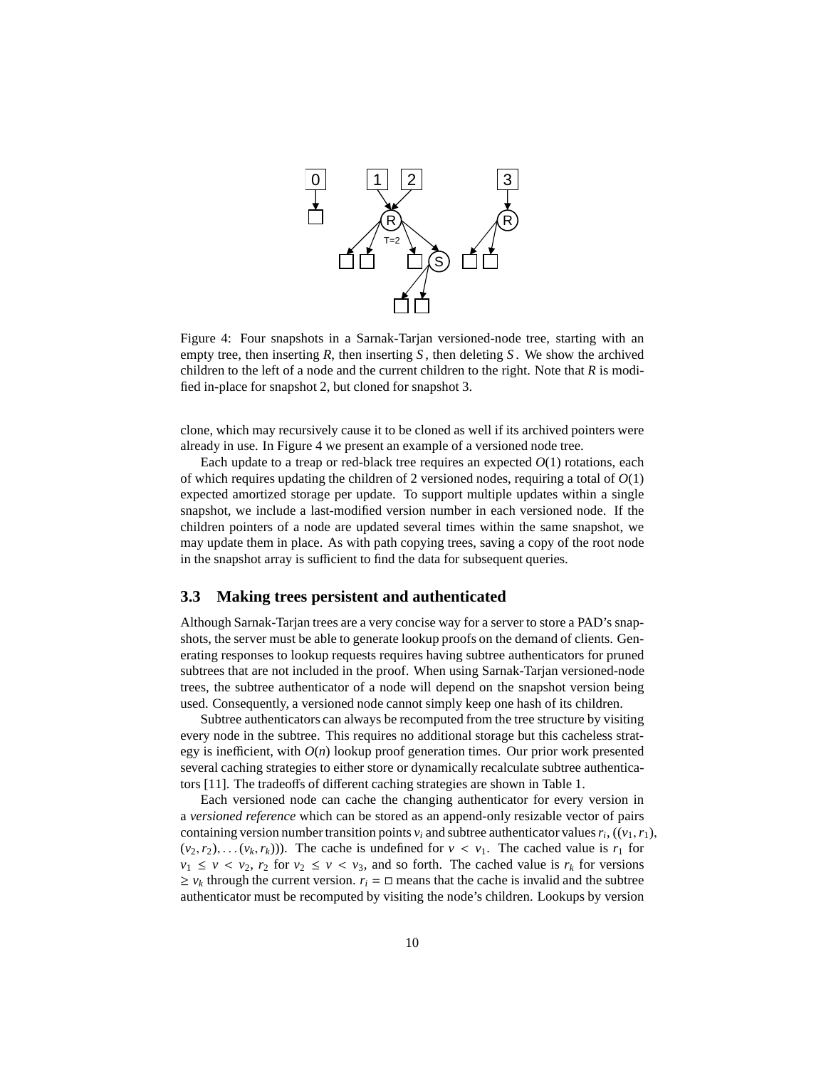

Figure 4: Four snapshots in a Sarnak-Tarjan versioned-node tree, starting with an empty tree, then inserting *R*, then inserting *S* , then deleting *S* . We show the archived children to the left of a node and the current children to the right. Note that *R* is modified in-place for snapshot 2, but cloned for snapshot 3.

clone, which may recursively cause it to be cloned as well if its archived pointers were already in use. In Figure 4 we present an example of a versioned node tree.

Each update to a treap or red-black tree requires an expected  $O(1)$  rotations, each of which requires updating the children of 2 versioned nodes, requiring a total of *O*(1) expected amortized storage per update. To support multiple updates within a single snapshot, we include a last-modified version number in each versioned node. If the children pointers of a node are updated several times within the same snapshot, we may update them in place. As with path copying trees, saving a copy of the root node in the snapshot array is sufficient to find the data for subsequent queries.

#### **3.3 Making trees persistent and authenticated**

Although Sarnak-Tarjan trees are a very concise way for a server to store a PAD's snapshots, the server must be able to generate lookup proofs on the demand of clients. Generating responses to lookup requests requires having subtree authenticators for pruned subtrees that are not included in the proof. When using Sarnak-Tarjan versioned-node trees, the subtree authenticator of a node will depend on the snapshot version being used. Consequently, a versioned node cannot simply keep one hash of its children.

Subtree authenticators can always be recomputed from the tree structure by visiting every node in the subtree. This requires no additional storage but this cacheless strategy is inefficient, with  $O(n)$  lookup proof generation times. Our prior work presented several caching strategies to either store or dynamically recalculate subtree authenticators [11]. The tradeoffs of different caching strategies are shown in Table 1.

Each versioned node can cache the changing authenticator for every version in a *versioned reference* which can be stored as an append-only resizable vector of pairs containing version number transition points  $v_i$  and subtree authenticator values  $r_i$ , (( $v_1$ ,  $r_1$ ),  $(v_2, r_2), \ldots (v_k, r_k)$ )). The cache is undefined for  $v < v_1$ . The cached value is  $r_1$  for  $v_1 \le v \le v_2$ ,  $r_2$  for  $v_2 \le v \le v_3$ , and so forth. The cached value is  $r_k$  for versions  $\geq v_k$  through the current version.  $r_i = \square$  means that the cache is invalid and the subtree authenticator must be recomputed by visiting the node's children. Lookups by version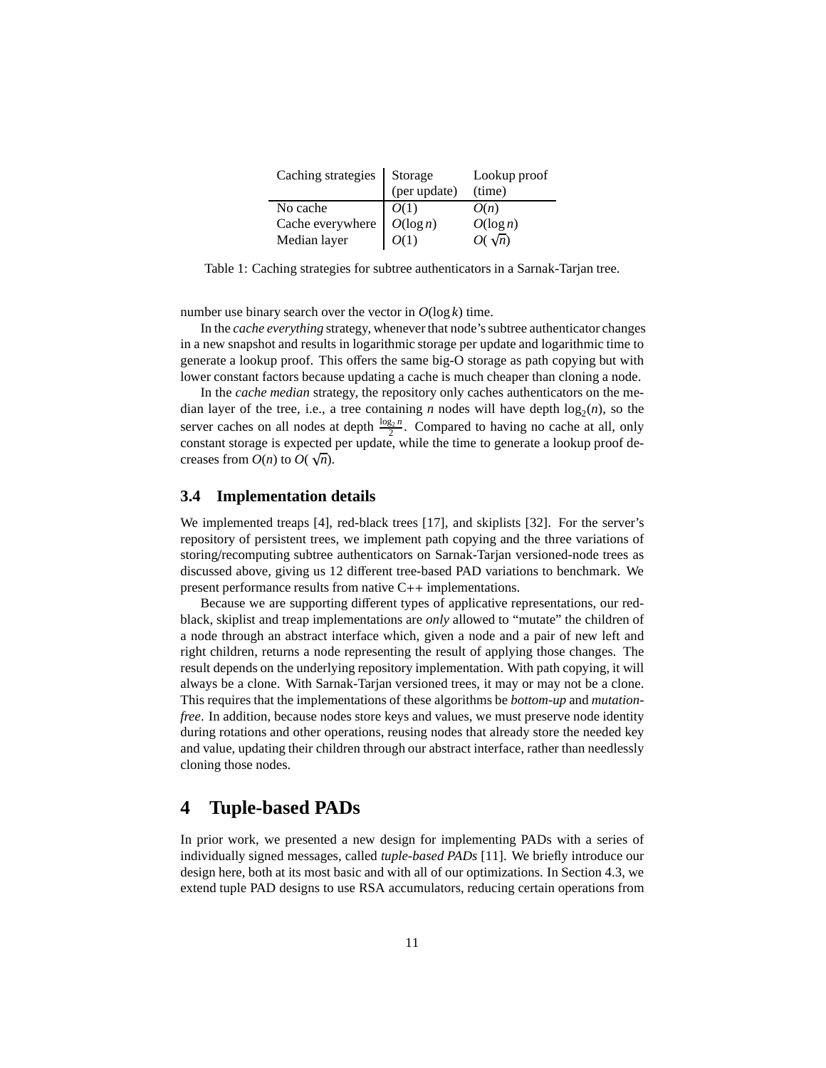| Caching strategies   Storage |              | Lookup proof  |
|------------------------------|--------------|---------------|
|                              | (per update) | (time)        |
| No cache                     | O(1)         | O(n)          |
| Cache everywhere             | $O(\log n)$  | $O(\log n)$   |
| Median layer                 |              | $O(\sqrt{n})$ |

Table 1: Caching strategies for subtree authenticators in a Sarnak-Tarjan tree.

number use binary search over the vector in  $O(\log k)$  time.

In the *cache everything* strategy, whenever that node's subtree authenticator changes in a new snapshot and results in logarithmic storage per update and logarithmic time to generate a lookup proof. This offers the same big-O storage as path copying but with lower constant factors because updating a cache is much cheaper than cloning a node.

In the *cache median* strategy, the repository only caches authenticators on the median layer of the tree, i.e., a tree containing *n* nodes will have depth  $log_2(n)$ , so the server caches on all nodes at depth  $\frac{\log_2 n}{2}$  $\frac{22}{2}$ . Compared to having no cache at all, only constant storage is expected per update, while the time to generate a lookup proof decreases from  $O(n)$  to  $O(\sqrt{n})$ .

#### **3.4 Implementation details**

We implemented treaps [4], red-black trees [17], and skiplists [32]. For the server's repository of persistent trees, we implement path copying and the three variations of storing/recomputing subtree authenticators on Sarnak-Tarjan versioned-node trees as discussed above, giving us 12 different tree-based PAD variations to benchmark. We present performance results from native C++ implementations.

Because we are supporting different types of applicative representations, our redblack, skiplist and treap implementations are *only* allowed to "mutate" the children of a node through an abstract interface which, given a node and a pair of new left and right children, returns a node representing the result of applying those changes. The result depends on the underlying repository implementation. With path copying, it will always be a clone. With Sarnak-Tarjan versioned trees, it may or may not be a clone. This requires that the implementations of these algorithms be *bottom-up* and *mutationfree*. In addition, because nodes store keys and values, we must preserve node identity during rotations and other operations, reusing nodes that already store the needed key and value, updating their children through our abstract interface, rather than needlessly cloning those nodes.

# **4 Tuple-based PADs**

In prior work, we presented a new design for implementing PADs with a series of individually signed messages, called *tuple-based PADs* [11]. We briefly introduce our design here, both at its most basic and with all of our optimizations. In Section 4.3, we extend tuple PAD designs to use RSA accumulators, reducing certain operations from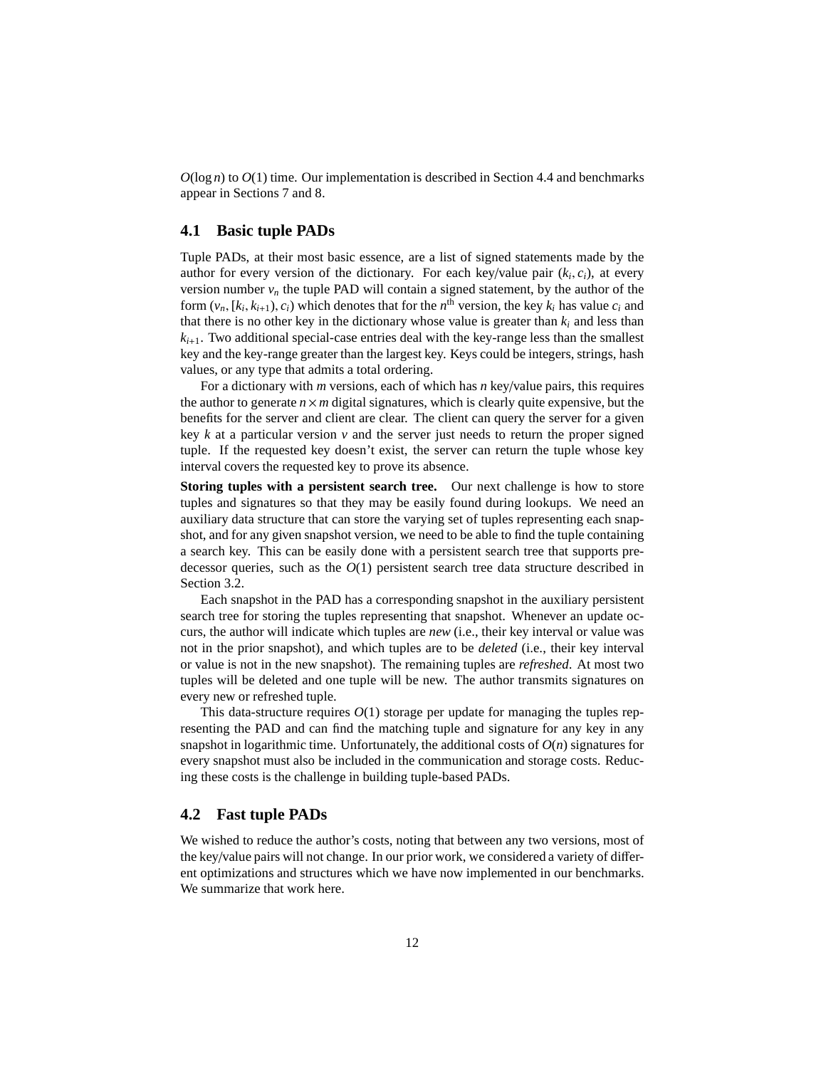$O(\log n)$  to  $O(1)$  time. Our implementation is described in Section 4.4 and benchmarks appear in Sections 7 and 8.

### **4.1 Basic tuple PADs**

Tuple PADs, at their most basic essence, are a list of signed statements made by the author for every version of the dictionary. For each key/value pair  $(k_i, c_i)$ , at every version number  $v_n$  the tuple PAD will contain a signed statement, by the author of the form  $(v_n, [k_i, k_{i+1}), c_i)$  which denotes that for the  $n^{\text{th}}$  version, the key  $k_i$  has value  $c_i$  and that there is no other key in the dictionary whose value is greater than  $k_i$  and less than  $k_{i+1}$ . Two additional special-case entries deal with the key-range less than the smallest key and the key-range greater than the largest key. Keys could be integers, strings, hash values, or any type that admits a total ordering.

For a dictionary with *m* versions, each of which has *n* key/value pairs, this requires the author to generate  $n \times m$  digital signatures, which is clearly quite expensive, but the benefits for the server and client are clear. The client can query the server for a given key  $k$  at a particular version  $\nu$  and the server just needs to return the proper signed tuple. If the requested key doesn't exist, the server can return the tuple whose key interval covers the requested key to prove its absence.

**Storing tuples with a persistent search tree.** Our next challenge is how to store tuples and signatures so that they may be easily found during lookups. We need an auxiliary data structure that can store the varying set of tuples representing each snapshot, and for any given snapshot version, we need to be able to find the tuple containing a search key. This can be easily done with a persistent search tree that supports predecessor queries, such as the *O*(1) persistent search tree data structure described in Section 3.2.

Each snapshot in the PAD has a corresponding snapshot in the auxiliary persistent search tree for storing the tuples representing that snapshot. Whenever an update occurs, the author will indicate which tuples are *new* (i.e., their key interval or value was not in the prior snapshot), and which tuples are to be *deleted* (i.e., their key interval or value is not in the new snapshot). The remaining tuples are *refreshed*. At most two tuples will be deleted and one tuple will be new. The author transmits signatures on every new or refreshed tuple.

This data-structure requires  $O(1)$  storage per update for managing the tuples representing the PAD and can find the matching tuple and signature for any key in any snapshot in logarithmic time. Unfortunately, the additional costs of  $O(n)$  signatures for every snapshot must also be included in the communication and storage costs. Reducing these costs is the challenge in building tuple-based PADs.

### **4.2 Fast tuple PADs**

We wished to reduce the author's costs, noting that between any two versions, most of the key/value pairs will not change. In our prior work, we considered a variety of different optimizations and structures which we have now implemented in our benchmarks. We summarize that work here.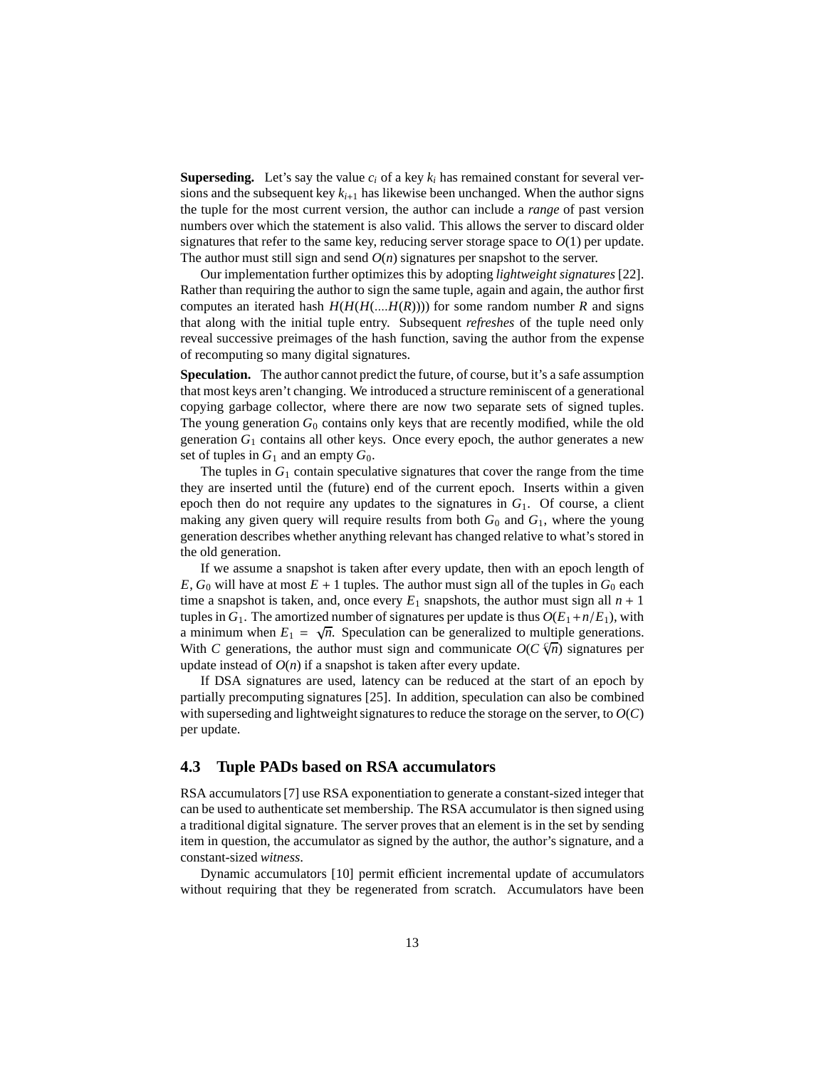**Superseding.** Let's say the value  $c_i$  of a key  $k_i$  has remained constant for several versions and the subsequent key  $k_{i+1}$  has likewise been unchanged. When the author signs the tuple for the most current version, the author can include a *range* of past version numbers over which the statement is also valid. This allows the server to discard older signatures that refer to the same key, reducing server storage space to  $O(1)$  per update. The author must still sign and send  $O(n)$  signatures per snapshot to the server.

Our implementation further optimizes this by adopting *lightweight signatures* [22]. Rather than requiring the author to sign the same tuple, again and again, the author first computes an iterated hash  $H(H(H(...,H(R))))$  for some random number *R* and signs that along with the initial tuple entry. Subsequent *refreshes* of the tuple need only reveal successive preimages of the hash function, saving the author from the expense of recomputing so many digital signatures.

**Speculation.** The author cannot predict the future, of course, but it's a safe assumption that most keys aren't changing. We introduced a structure reminiscent of a generational copying garbage collector, where there are now two separate sets of signed tuples. The young generation  $G_0$  contains only keys that are recently modified, while the old generation  $G_1$  contains all other keys. Once every epoch, the author generates a new set of tuples in  $G_1$  and an empty  $G_0$ .

The tuples in  $G_1$  contain speculative signatures that cover the range from the time they are inserted until the (future) end of the current epoch. Inserts within a given epoch then do not require any updates to the signatures in *G*1. Of course, a client making any given query will require results from both  $G_0$  and  $G_1$ , where the young generation describes whether anything relevant has changed relative to what's stored in the old generation.

If we assume a snapshot is taken after every update, then with an epoch length of *E*,  $G_0$  will have at most  $E + 1$  tuples. The author must sign all of the tuples in  $G_0$  each time a snapshot is taken, and, once every  $E_1$  snapshots, the author must sign all  $n + 1$ tuples in  $G_1$ . The amortized number of signatures per update is thus  $O(E_1 + n/E_1)$ , with a minimum when  $E_1 = \sqrt{n}$ . Speculation can be generalized to multiple generations. With *C* generations, the author must sign and communicate  $O(C \sqrt[n]{n})$  signatures per update instead of  $O(n)$  if a snapshot is taken after every update.

If DSA signatures are used, latency can be reduced at the start of an epoch by partially precomputing signatures [25]. In addition, speculation can also be combined with superseding and lightweight signatures to reduce the storage on the server, to  $O(C)$ per update.

#### **4.3 Tuple PADs based on RSA accumulators**

RSA accumulators [7] use RSA exponentiation to generate a constant-sized integer that can be used to authenticate set membership. The RSA accumulator is then signed using a traditional digital signature. The server proves that an element is in the set by sending item in question, the accumulator as signed by the author, the author's signature, and a constant-sized *witness*.

Dynamic accumulators [10] permit efficient incremental update of accumulators without requiring that they be regenerated from scratch. Accumulators have been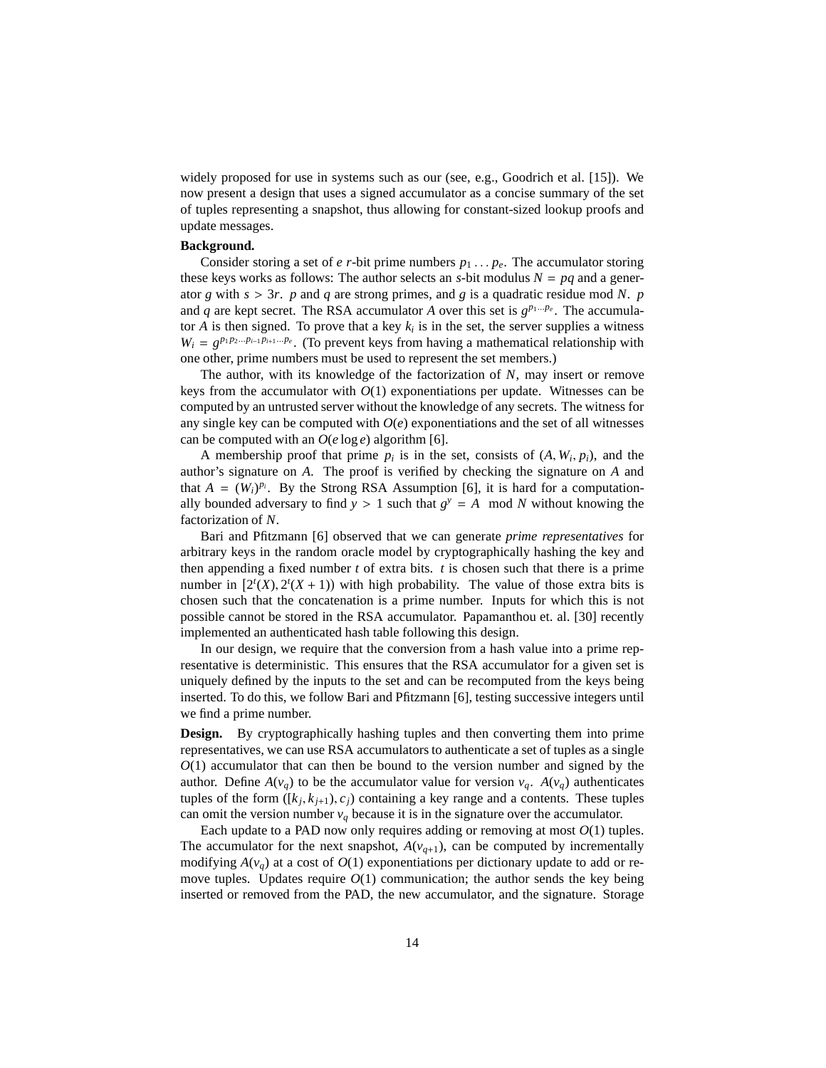widely proposed for use in systems such as our (see, e.g., Goodrich et al. [15]). We now present a design that uses a signed accumulator as a concise summary of the set of tuples representing a snapshot, thus allowing for constant-sized lookup proofs and update messages.

#### **Background.**

Consider storing a set of *e r*-bit prime numbers  $p_1 \nldots p_e$ . The accumulator storing these keys works as follows: The author selects an *s*-bit modulus  $N = pq$  and a generator *g* with  $s > 3r$ . *p* and *q* are strong primes, and *g* is a quadratic residue mod *N*. *p* and *q* are kept secret. The RSA accumulator *A* over this set is  $g^{p_1...p_e}$ . The accumulator  $A$  is then signed. To prove that a key  $k_i$  is in the set, the server supplies a witness  $W_i = g^{p_1 p_2 \ldots p_{i-1} p_{i+1} \ldots p_e}$ . (To prevent keys from having a mathematical relationship with one other, prime numbers must be used to represent the set members.)

The author, with its knowledge of the factorization of *N*, may insert or remove keys from the accumulator with  $O(1)$  exponentiations per update. Witnesses can be computed by an untrusted server without the knowledge of any secrets. The witness for any single key can be computed with  $O(e)$  exponentiations and the set of all witnesses can be computed with an  $O(e \log e)$  algorithm [6].

A membership proof that prime  $p_i$  is in the set, consists of  $(A, W_i, p_i)$ , and the author's signature on *A*. The proof is verified by checking the signature on *A* and that  $A = (W_i)^{p_i}$ . By the Strong RSA Assumption [6], it is hard for a computationally bounded adversary to find  $y > 1$  such that  $g^y = A$  mod *N* without knowing the factorization of *N*.

Bari and Pfitzmann [6] observed that we can generate *prime representatives* for arbitrary keys in the random oracle model by cryptographically hashing the key and then appending a fixed number *t* of extra bits. *t* is chosen such that there is a prime number in  $[2^t(X), 2^t(X + 1))$  with high probability. The value of those extra bits is chosen such that the concatenation is a prime number. Inputs for which this is not possible cannot be stored in the RSA accumulator. Papamanthou et. al. [30] recently implemented an authenticated hash table following this design.

In our design, we require that the conversion from a hash value into a prime representative is deterministic. This ensures that the RSA accumulator for a given set is uniquely defined by the inputs to the set and can be recomputed from the keys being inserted. To do this, we follow Bari and Pfitzmann [6], testing successive integers until we find a prime number.

**Design.** By cryptographically hashing tuples and then converting them into prime representatives, we can use RSA accumulators to authenticate a set of tuples as a single *O*(1) accumulator that can then be bound to the version number and signed by the author. Define  $A(v_a)$  to be the accumulator value for version  $v_a$ .  $A(v_a)$  authenticates tuples of the form  $([k_j, k_{j+1}), c_j)$  containing a key range and a contents. These tuples can omit the version number  $v_q$  because it is in the signature over the accumulator.

Each update to a PAD now only requires adding or removing at most  $O(1)$  tuples. The accumulator for the next snapshot,  $A(v_{q+1})$ , can be computed by incrementally modifying  $A(v_a)$  at a cost of  $O(1)$  exponentiations per dictionary update to add or remove tuples. Updates require  $O(1)$  communication; the author sends the key being inserted or removed from the PAD, the new accumulator, and the signature. Storage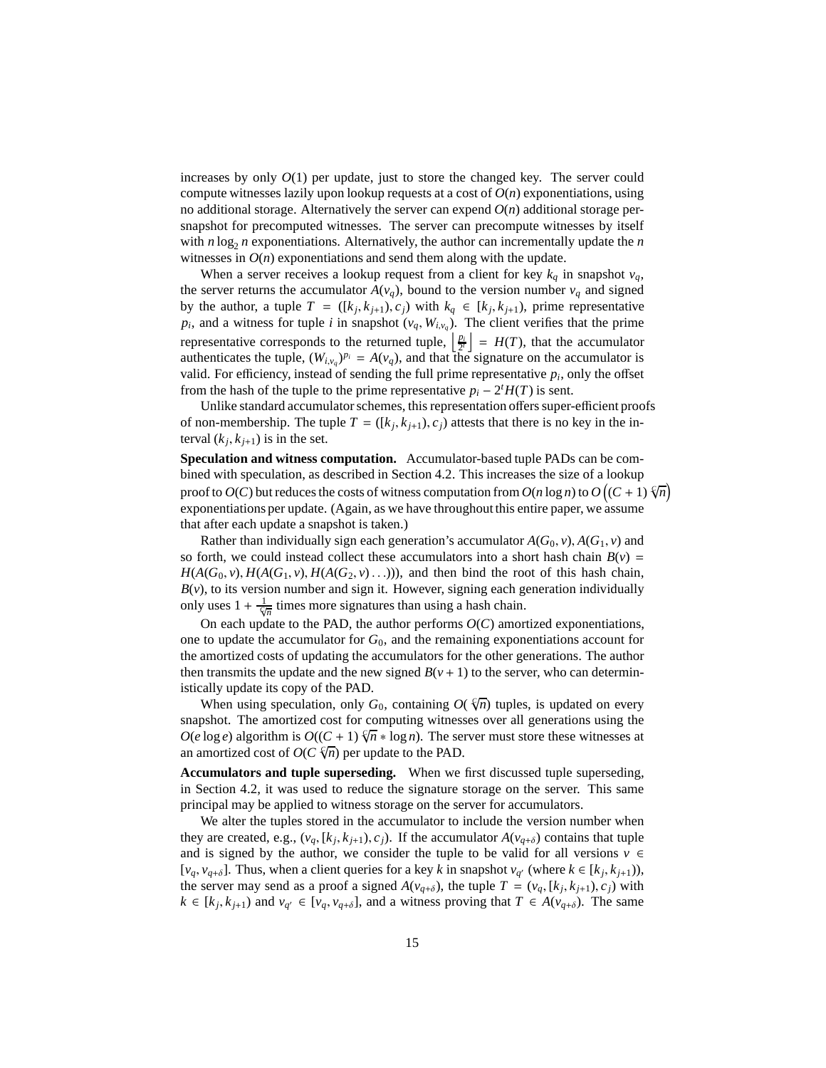increases by only  $O(1)$  per update, just to store the changed key. The server could compute witnesses lazily upon lookup requests at a cost of  $O(n)$  exponentiations, using no additional storage. Alternatively the server can expend  $O(n)$  additional storage persnapshot for precomputed witnesses. The server can precompute witnesses by itself with  $n \log_2 n$  exponentiations. Alternatively, the author can incrementally update the  $n$ witnesses in  $O(n)$  exponentiations and send them along with the update.

When a server receives a lookup request from a client for key  $k_q$  in snapshot  $v_q$ , the server returns the accumulator  $A(v_q)$ , bound to the version number  $v_q$  and signed by the author, a tuple  $T = ([k_j, k_{j+1}), c_j)$  with  $k_q \in [k_j, k_{j+1})$ , prime representative  $p_i$ , and a witness for tuple *i* in snapshot  $(v_q, W_{i,v_q})$ . The client verifies that the prime representative corresponds to the returned tuple,  $\left\lfloor \frac{p_i}{2^t} \right\rfloor = H(T)$ , that the accumulator authenticates the tuple,  $(W_{i,v_q})^{p_i} = A(v_q)$ , and that the signature on the accumulator is valid. For efficiency, instead of sending the full prime representative  $p_i$ , only the offset from the hash of the tuple to the prime representative  $p_i - 2^t H(T)$  is sent.

Unlike standard accumulator schemes, this representation offers super-efficient proofs of non-membership. The tuple  $T = ([k_j, k_{j+1}), c_j)$  attests that there is no key in the interval  $(k_j, k_{j+1})$  is in the set.

**Speculation and witness computation.** Accumulator-based tuple PADs can be combined with speculation, as described in Section 4.2. This increases the size of a lookup proof to  $O(C)$  but reduces the costs of witness computation from  $O(n \log n)$  to  $O((C + 1) \sqrt[n]{n})$ exponentiations per update. (Again, as we have throughout this entire paper, we assume that after each update a snapshot is taken.)

Rather than individually sign each generation's accumulator  $A(G_0, v)$ ,  $A(G_1, v)$  and so forth, we could instead collect these accumulators into a short hash chain  $B(v)$  =  $H(A(G_0, v), H(A(G_1, v), H(A(G_2, v), \ldots)))$ , and then bind the root of this hash chain,  $B(v)$ , to its version number and sign it. However, signing each generation individually only uses  $1 + \frac{1}{\sqrt{n}}$  times more signatures than using a hash chain.

On each update to the PAD, the author performs  $O(C)$  amortized exponentiations, one to update the accumulator for  $G_0$ , and the remaining exponentiations account for the amortized costs of updating the accumulators for the other generations. The author then transmits the update and the new signed  $B(\nu + 1)$  to the server, who can deterministically update its copy of the PAD.

When using speculation, only  $G_0$ , containing  $O(\sqrt[n]{n})$  tuples, is updated on every snapshot. The amortized cost for computing witnesses over all generations using the  $O(e \log e)$  algorithm is  $O((C + 1) \sqrt[n]{n} * \log n)$ . The server must store these witnesses at an amortized cost of  $O(C \sqrt[n]{n})$  per update to the PAD.

**Accumulators and tuple superseding.** When we first discussed tuple superseding, in Section 4.2, it was used to reduce the signature storage on the server. This same principal may be applied to witness storage on the server for accumulators.

We alter the tuples stored in the accumulator to include the version number when they are created, e.g.,  $(v_q, [k_j, k_{j+1}), c_j)$ . If the accumulator  $A(v_{q+\delta})$  contains that tuple and is signed by the author, we consider the tuple to be valid for all versions  $v \in$  $[v_q, v_{q+\delta}]$ . Thus, when a client queries for a key *k* in snapshot  $v_{q'}$  (where  $k \in [k_j, k_{j+1})$ ), the server may send as a proof a signed  $A(v_{q+\delta})$ , the tuple  $T = (v_q, [k_j, k_{j+1}), c_j)$  with  $k \in [k_j, k_{j+1})$  and  $v_{q'} \in [v_q, v_{q+\delta}]$ , and a witness proving that  $T \in A(v_{q+\delta})$ . The same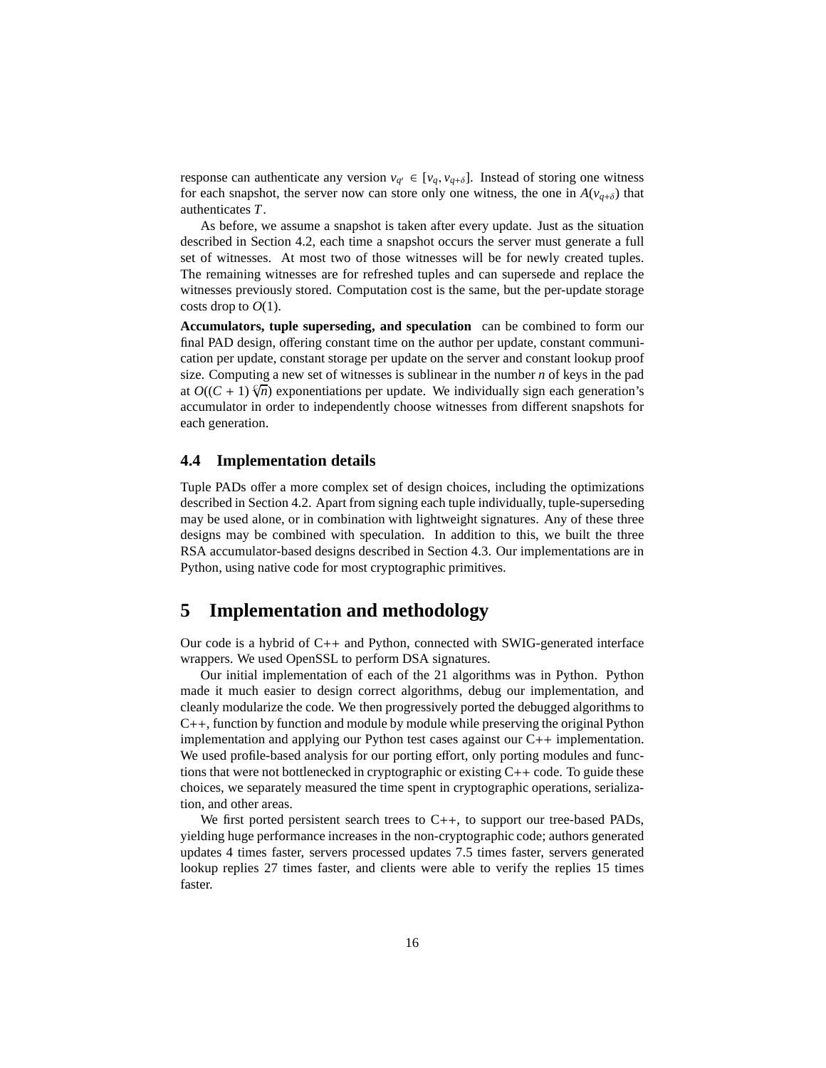response can authenticate any version  $v_{q'} \in [v_q, v_{q+\delta}]$ . Instead of storing one witness for each snapshot, the server now can store only one witness, the one in  $A(v_{q+\delta})$  that authenticates *T*.

As before, we assume a snapshot is taken after every update. Just as the situation described in Section 4.2, each time a snapshot occurs the server must generate a full set of witnesses. At most two of those witnesses will be for newly created tuples. The remaining witnesses are for refreshed tuples and can supersede and replace the witnesses previously stored. Computation cost is the same, but the per-update storage costs drop to  $O(1)$ .

**Accumulators, tuple superseding, and speculation** can be combined to form our final PAD design, offering constant time on the author per update, constant communication per update, constant storage per update on the server and constant lookup proof size. Computing a new set of witnesses is sublinear in the number *n* of keys in the pad at  $O((C + 1) \sqrt[n]{n})$  exponentiations per update. We individually sign each generation's accumulator in order to independently choose witnesses from different snapshots for each generation.

#### **4.4 Implementation details**

Tuple PADs offer a more complex set of design choices, including the optimizations described in Section 4.2. Apart from signing each tuple individually, tuple-superseding may be used alone, or in combination with lightweight signatures. Any of these three designs may be combined with speculation. In addition to this, we built the three RSA accumulator-based designs described in Section 4.3. Our implementations are in Python, using native code for most cryptographic primitives.

# **5 Implementation and methodology**

Our code is a hybrid of C++ and Python, connected with SWIG-generated interface wrappers. We used OpenSSL to perform DSA signatures.

Our initial implementation of each of the 21 algorithms was in Python. Python made it much easier to design correct algorithms, debug our implementation, and cleanly modularize the code. We then progressively ported the debugged algorithms to C++, function by function and module by module while preserving the original Python implementation and applying our Python test cases against our C++ implementation. We used profile-based analysis for our porting effort, only porting modules and functions that were not bottlenecked in cryptographic or existing  $C++$  code. To guide these choices, we separately measured the time spent in cryptographic operations, serialization, and other areas.

We first ported persistent search trees to C++, to support our tree-based PADs, yielding huge performance increases in the non-cryptographic code; authors generated updates 4 times faster, servers processed updates 7.5 times faster, servers generated lookup replies 27 times faster, and clients were able to verify the replies 15 times faster.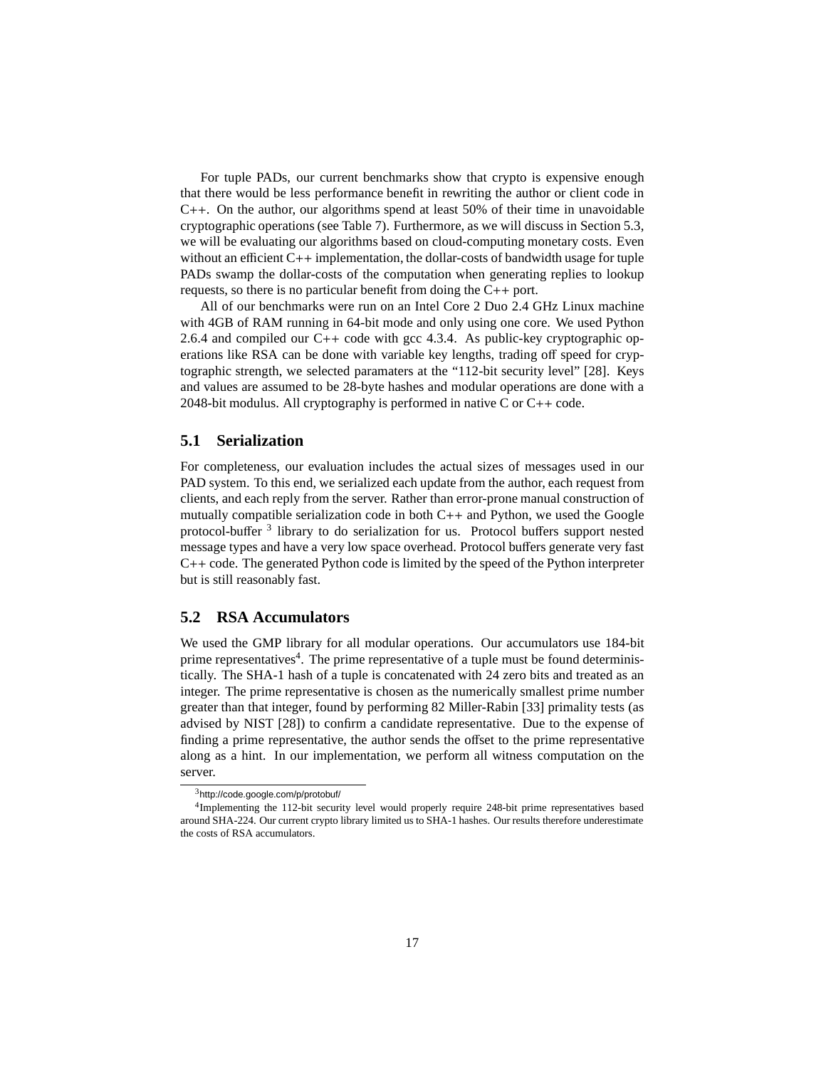For tuple PADs, our current benchmarks show that crypto is expensive enough that there would be less performance benefit in rewriting the author or client code in  $C_{++}$ . On the author, our algorithms spend at least 50% of their time in unavoidable cryptographic operations (see Table 7). Furthermore, as we will discuss in Section 5.3, we will be evaluating our algorithms based on cloud-computing monetary costs. Even without an efficient C++ implementation, the dollar-costs of bandwidth usage for tuple PADs swamp the dollar-costs of the computation when generating replies to lookup requests, so there is no particular benefit from doing the C++ port.

All of our benchmarks were run on an Intel Core 2 Duo 2.4 GHz Linux machine with 4GB of RAM running in 64-bit mode and only using one core. We used Python 2.6.4 and compiled our C++ code with gcc 4.3.4. As public-key cryptographic operations like RSA can be done with variable key lengths, trading off speed for cryptographic strength, we selected paramaters at the "112-bit security level" [28]. Keys and values are assumed to be 28-byte hashes and modular operations are done with a 2048-bit modulus. All cryptography is performed in native C or C++ code.

### **5.1 Serialization**

For completeness, our evaluation includes the actual sizes of messages used in our PAD system. To this end, we serialized each update from the author, each request from clients, and each reply from the server. Rather than error-prone manual construction of mutually compatible serialization code in both C++ and Python, we used the Google protocol-buffer <sup>3</sup> library to do serialization for us. Protocol buffers support nested message types and have a very low space overhead. Protocol buffers generate very fast C++ code. The generated Python code is limited by the speed of the Python interpreter but is still reasonably fast.

### **5.2 RSA Accumulators**

We used the GMP library for all modular operations. Our accumulators use 184-bit prime representatives<sup>4</sup>. The prime representative of a tuple must be found deterministically. The SHA-1 hash of a tuple is concatenated with 24 zero bits and treated as an integer. The prime representative is chosen as the numerically smallest prime number greater than that integer, found by performing 82 Miller-Rabin [33] primality tests (as advised by NIST [28]) to confirm a candidate representative. Due to the expense of finding a prime representative, the author sends the offset to the prime representative along as a hint. In our implementation, we perform all witness computation on the server.

<sup>3</sup>http://code.google.com/p/protobuf/

<sup>&</sup>lt;sup>4</sup>Implementing the 112-bit security level would properly require 248-bit prime representatives based around SHA-224. Our current crypto library limited us to SHA-1 hashes. Our results therefore underestimate the costs of RSA accumulators.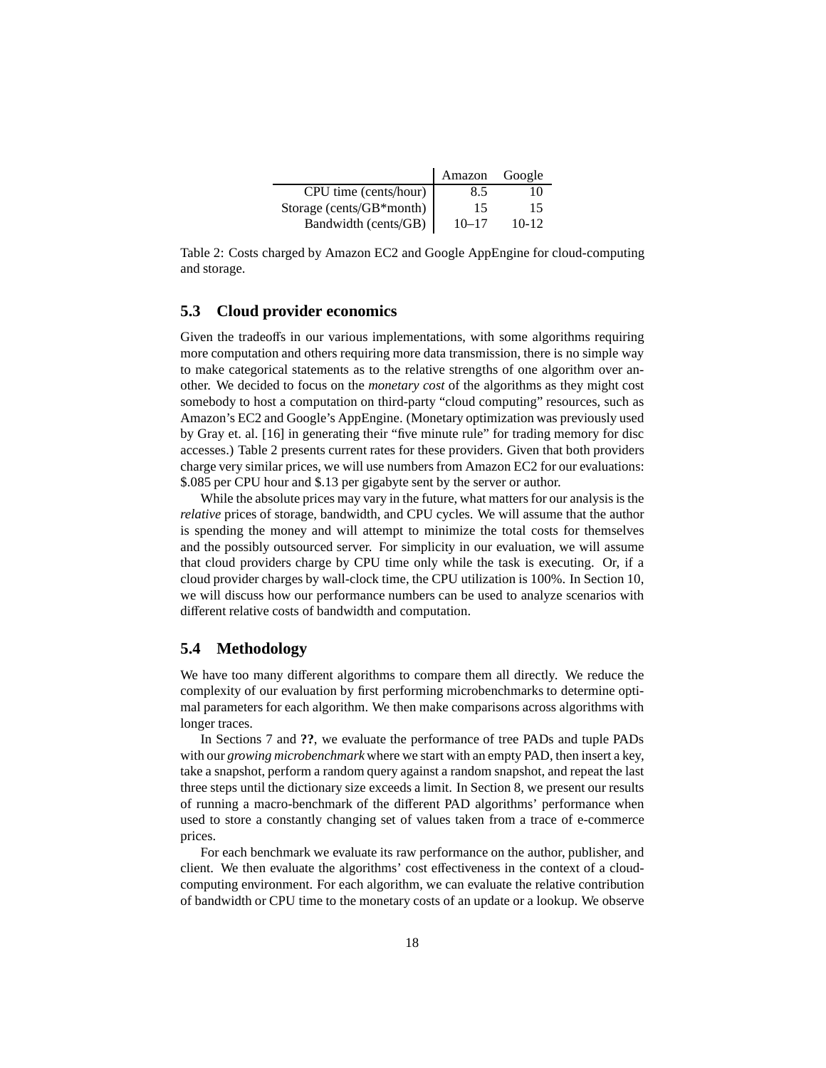|                          | Amazon    | Google  |
|--------------------------|-----------|---------|
| CPU time (cents/hour)    | 8.5       | 10      |
| Storage (cents/GB*month) | 15        | 15      |
| Bandwidth (cents/GB)     | $10 - 17$ | $10-12$ |

Table 2: Costs charged by Amazon EC2 and Google AppEngine for cloud-computing and storage.

### **5.3 Cloud provider economics**

Given the tradeoffs in our various implementations, with some algorithms requiring more computation and others requiring more data transmission, there is no simple way to make categorical statements as to the relative strengths of one algorithm over another. We decided to focus on the *monetary cost* of the algorithms as they might cost somebody to host a computation on third-party "cloud computing" resources, such as Amazon's EC2 and Google's AppEngine. (Monetary optimization was previously used by Gray et. al. [16] in generating their "five minute rule" for trading memory for disc accesses.) Table 2 presents current rates for these providers. Given that both providers charge very similar prices, we will use numbers from Amazon EC2 for our evaluations: \$.085 per CPU hour and \$.13 per gigabyte sent by the server or author.

While the absolute prices may vary in the future, what matters for our analysis is the *relative* prices of storage, bandwidth, and CPU cycles. We will assume that the author is spending the money and will attempt to minimize the total costs for themselves and the possibly outsourced server. For simplicity in our evaluation, we will assume that cloud providers charge by CPU time only while the task is executing. Or, if a cloud provider charges by wall-clock time, the CPU utilization is 100%. In Section 10, we will discuss how our performance numbers can be used to analyze scenarios with different relative costs of bandwidth and computation.

### **5.4 Methodology**

We have too many different algorithms to compare them all directly. We reduce the complexity of our evaluation by first performing microbenchmarks to determine optimal parameters for each algorithm. We then make comparisons across algorithms with longer traces.

In Sections 7 and **??**, we evaluate the performance of tree PADs and tuple PADs with our *growing microbenchmark* where we start with an empty PAD, then insert a key, take a snapshot, perform a random query against a random snapshot, and repeat the last three steps until the dictionary size exceeds a limit. In Section 8, we present our results of running a macro-benchmark of the different PAD algorithms' performance when used to store a constantly changing set of values taken from a trace of e-commerce prices.

For each benchmark we evaluate its raw performance on the author, publisher, and client. We then evaluate the algorithms' cost effectiveness in the context of a cloudcomputing environment. For each algorithm, we can evaluate the relative contribution of bandwidth or CPU time to the monetary costs of an update or a lookup. We observe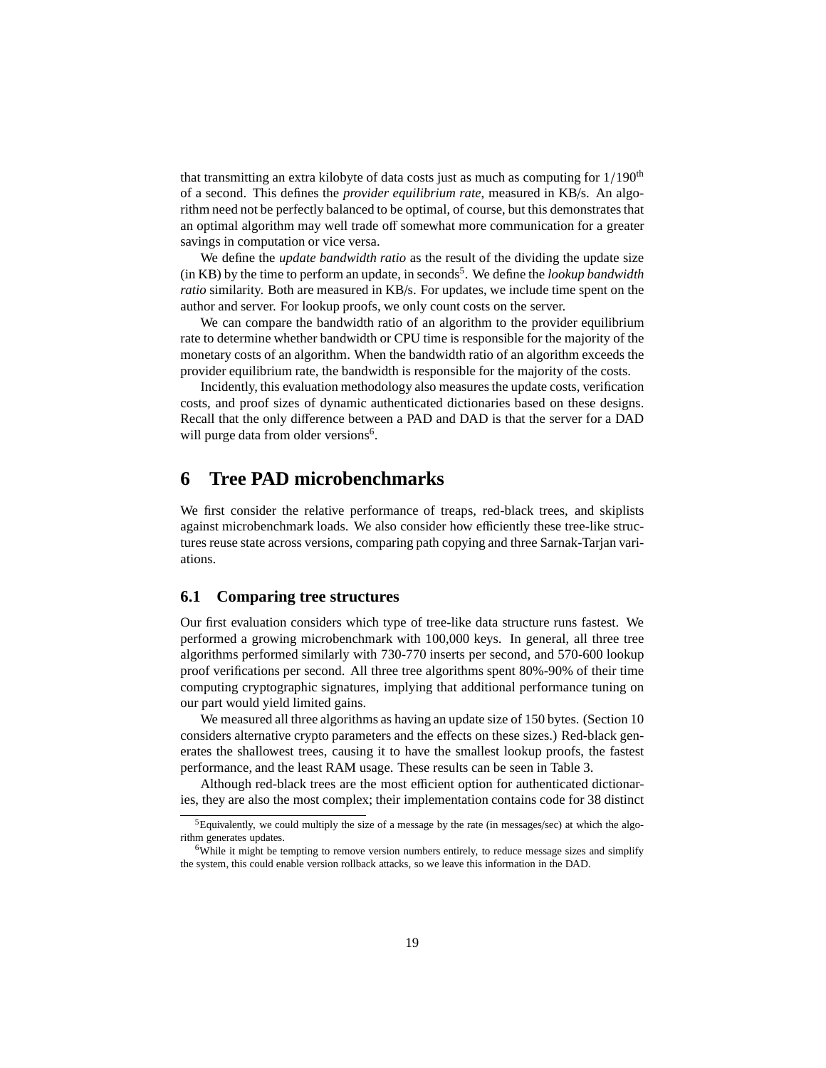that transmitting an extra kilobyte of data costs just as much as computing for  $1/190<sup>th</sup>$ of a second. This defines the *provider equilibrium rate*, measured in KB/s. An algorithm need not be perfectly balanced to be optimal, of course, but this demonstrates that an optimal algorithm may well trade off somewhat more communication for a greater savings in computation or vice versa.

We define the *update bandwidth ratio* as the result of the dividing the update size  $(in KB)$  by the time to perform an update, in seconds<sup>5</sup>. We define the *lookup bandwidth ratio* similarity. Both are measured in KB/s. For updates, we include time spent on the author and server. For lookup proofs, we only count costs on the server.

We can compare the bandwidth ratio of an algorithm to the provider equilibrium rate to determine whether bandwidth or CPU time is responsible for the majority of the monetary costs of an algorithm. When the bandwidth ratio of an algorithm exceeds the provider equilibrium rate, the bandwidth is responsible for the majority of the costs.

Incidently, this evaluation methodology also measures the update costs, verification costs, and proof sizes of dynamic authenticated dictionaries based on these designs. Recall that the only difference between a PAD and DAD is that the server for a DAD will purge data from older versions<sup>6</sup>.

# **6 Tree PAD microbenchmarks**

We first consider the relative performance of treaps, red-black trees, and skiplists against microbenchmark loads. We also consider how efficiently these tree-like structures reuse state across versions, comparing path copying and three Sarnak-Tarjan variations.

#### **6.1 Comparing tree structures**

Our first evaluation considers which type of tree-like data structure runs fastest. We performed a growing microbenchmark with 100,000 keys. In general, all three tree algorithms performed similarly with 730-770 inserts per second, and 570-600 lookup proof verifications per second. All three tree algorithms spent 80%-90% of their time computing cryptographic signatures, implying that additional performance tuning on our part would yield limited gains.

We measured all three algorithms as having an update size of 150 bytes. (Section 10 considers alternative crypto parameters and the effects on these sizes.) Red-black generates the shallowest trees, causing it to have the smallest lookup proofs, the fastest performance, and the least RAM usage. These results can be seen in Table 3.

Although red-black trees are the most efficient option for authenticated dictionaries, they are also the most complex; their implementation contains code for 38 distinct

 ${}^{5}$ Equivalently, we could multiply the size of a message by the rate (in messages/sec) at which the algorithm generates updates.

 $6$ While it might be tempting to remove version numbers entirely, to reduce message sizes and simplify the system, this could enable version rollback attacks, so we leave this information in the DAD.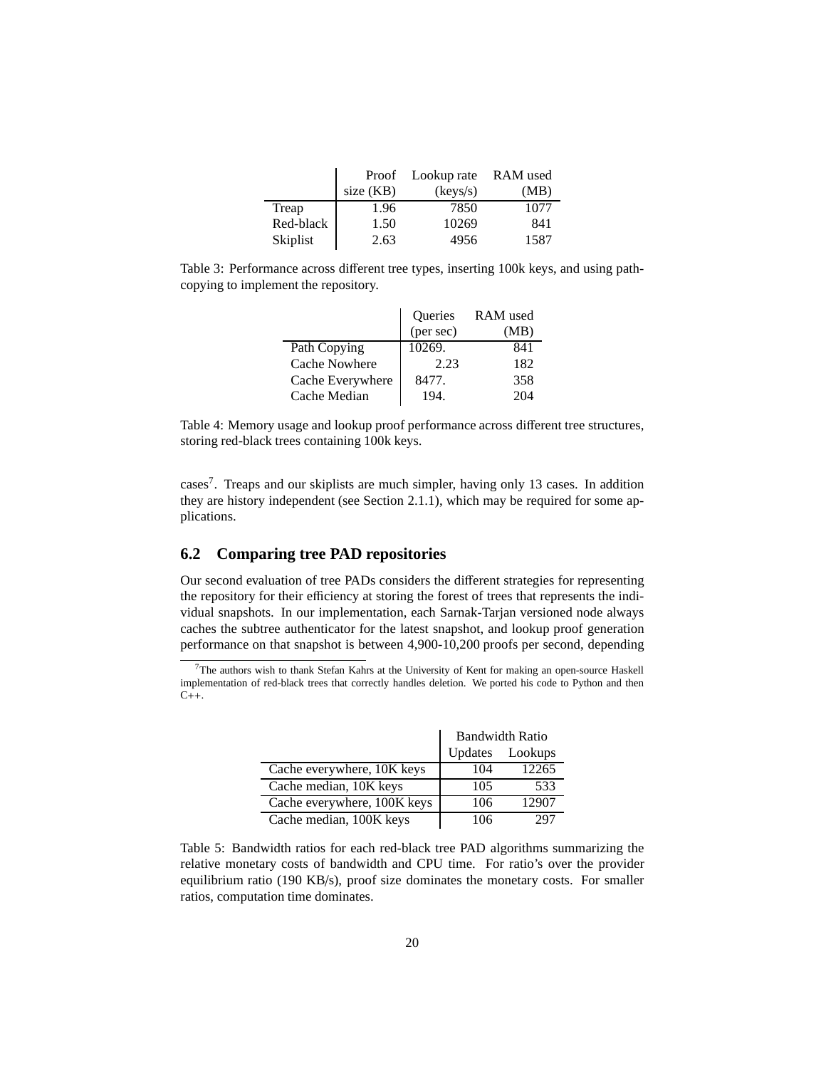|           | Proof       | Lookup rate | RAM used |
|-----------|-------------|-------------|----------|
|           | size $(KB)$ | (keys/s)    | (MB)     |
| Treap     | 1.96        | 7850        | 1077     |
| Red-black | 1.50        | 10269       | 841      |
| Skiplist  | 2.63        | 4956        | 1587     |

Table 3: Performance across different tree types, inserting 100k keys, and using pathcopying to implement the repository.

|                  | Queries   | RAM used |
|------------------|-----------|----------|
|                  | (per sec) | (MB)     |
| Path Copying     | 10269.    | 841      |
| Cache Nowhere    | 2.23      | 182      |
| Cache Everywhere | 8477.     | 358      |
| Cache Median     | 194       | 204      |

Table 4: Memory usage and lookup proof performance across different tree structures, storing red-black trees containing 100k keys.

cases<sup>7</sup>. Treaps and our skiplists are much simpler, having only 13 cases. In addition they are history independent (see Section 2.1.1), which may be required for some applications.

### **6.2 Comparing tree PAD repositories**

Our second evaluation of tree PADs considers the different strategies for representing the repository for their efficiency at storing the forest of trees that represents the individual snapshots. In our implementation, each Sarnak-Tarjan versioned node always caches the subtree authenticator for the latest snapshot, and lookup proof generation performance on that snapshot is between 4,900-10,200 proofs per second, depending

 $7$ The authors wish to thank Stefan Kahrs at the University of Kent for making an open-source Haskell implementation of red-black trees that correctly handles deletion. We ported his code to Python and then  $C_{++}$ .

|                             | <b>Bandwidth Ratio</b> |       |  |
|-----------------------------|------------------------|-------|--|
|                             | Updates Lookups        |       |  |
| Cache everywhere, 10K keys  | 104                    | 12265 |  |
| Cache median, 10K keys      | 105                    | 533   |  |
| Cache everywhere, 100K keys | 106                    | 12907 |  |
| Cache median, 100K keys     | 106                    |       |  |

Table 5: Bandwidth ratios for each red-black tree PAD algorithms summarizing the relative monetary costs of bandwidth and CPU time. For ratio's over the provider equilibrium ratio (190 KB/s), proof size dominates the monetary costs. For smaller ratios, computation time dominates.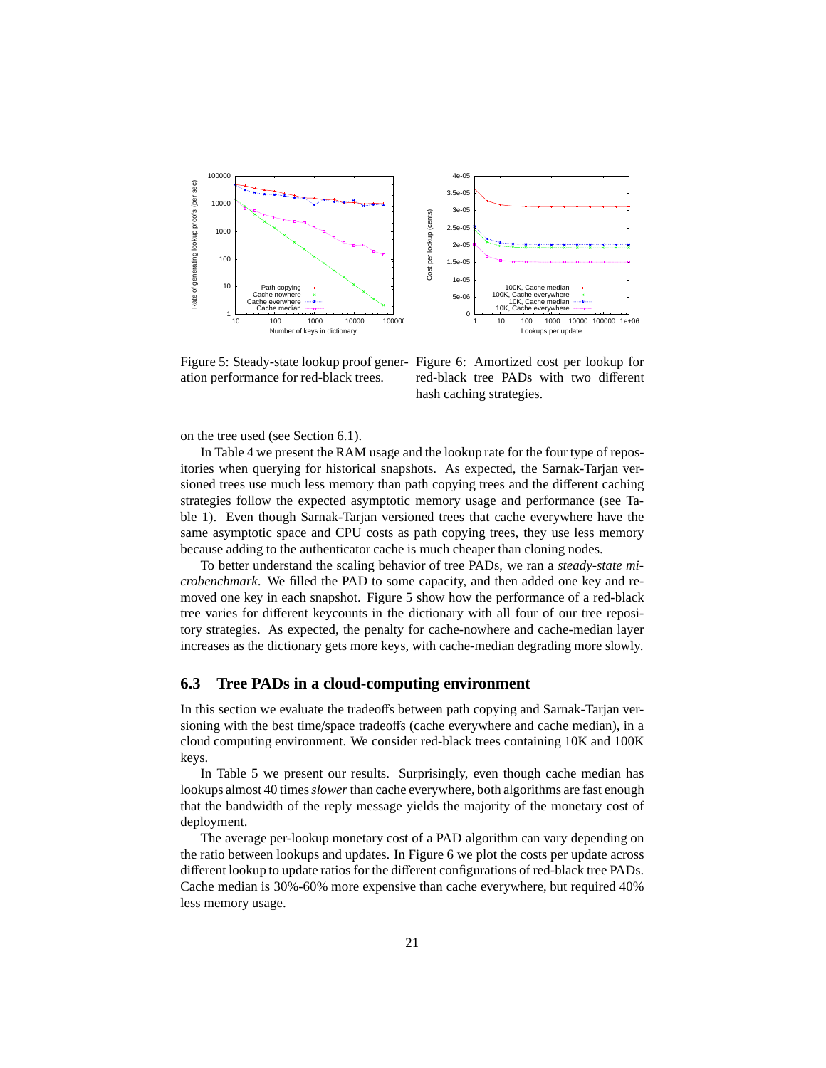

ation performance for red-black trees.

Figure 5: Steady-state lookup proof gener-Figure 6: Amortized cost per lookup for red-black tree PADs with two different hash caching strategies.

on the tree used (see Section 6.1).

In Table 4 we present the RAM usage and the lookup rate for the four type of repositories when querying for historical snapshots. As expected, the Sarnak-Tarjan versioned trees use much less memory than path copying trees and the different caching strategies follow the expected asymptotic memory usage and performance (see Table 1). Even though Sarnak-Tarjan versioned trees that cache everywhere have the same asymptotic space and CPU costs as path copying trees, they use less memory because adding to the authenticator cache is much cheaper than cloning nodes.

To better understand the scaling behavior of tree PADs, we ran a *steady-state microbenchmark*. We filled the PAD to some capacity, and then added one key and removed one key in each snapshot. Figure 5 show how the performance of a red-black tree varies for different keycounts in the dictionary with all four of our tree repository strategies. As expected, the penalty for cache-nowhere and cache-median layer increases as the dictionary gets more keys, with cache-median degrading more slowly.

#### **6.3 Tree PADs in a cloud-computing environment**

In this section we evaluate the tradeoffs between path copying and Sarnak-Tarjan versioning with the best time/space tradeoffs (cache everywhere and cache median), in a cloud computing environment. We consider red-black trees containing 10K and 100K keys.

In Table 5 we present our results. Surprisingly, even though cache median has lookups almost 40 times*slower* than cache everywhere, both algorithms are fast enough that the bandwidth of the reply message yields the majority of the monetary cost of deployment.

The average per-lookup monetary cost of a PAD algorithm can vary depending on the ratio between lookups and updates. In Figure 6 we plot the costs per update across different lookup to update ratios for the different configurations of red-black tree PADs. Cache median is 30%-60% more expensive than cache everywhere, but required 40% less memory usage.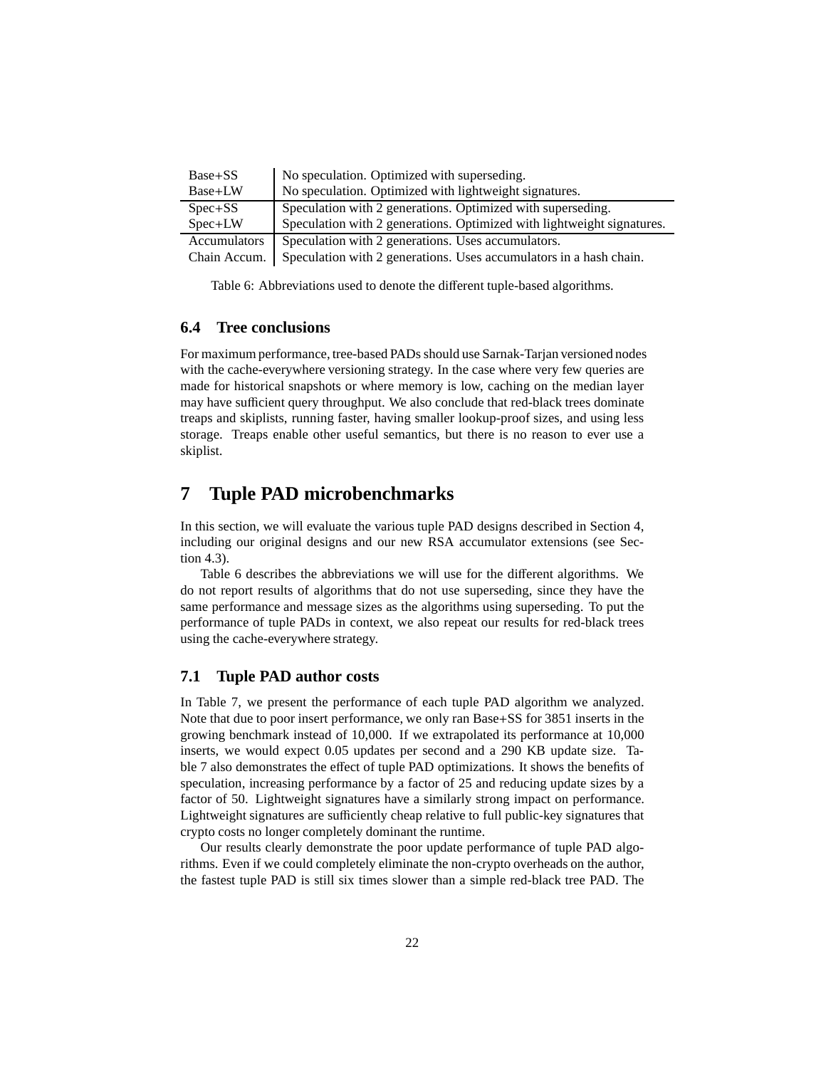| Base+SS      | No speculation. Optimized with superseding.                            |
|--------------|------------------------------------------------------------------------|
| Base+LW      | No speculation. Optimized with lightweight signatures.                 |
| $Spec+SS$    | Speculation with 2 generations. Optimized with superseding.            |
| Spec+LW      | Speculation with 2 generations. Optimized with lightweight signatures. |
| Accumulators | Speculation with 2 generations. Uses accumulators.                     |
| Chain Accum. | Speculation with 2 generations. Uses accumulators in a hash chain.     |

Table 6: Abbreviations used to denote the different tuple-based algorithms.

### **6.4 Tree conclusions**

For maximum performance, tree-based PADs should use Sarnak-Tarjan versioned nodes with the cache-everywhere versioning strategy. In the case where very few queries are made for historical snapshots or where memory is low, caching on the median layer may have sufficient query throughput. We also conclude that red-black trees dominate treaps and skiplists, running faster, having smaller lookup-proof sizes, and using less storage. Treaps enable other useful semantics, but there is no reason to ever use a skiplist.

# **7 Tuple PAD microbenchmarks**

In this section, we will evaluate the various tuple PAD designs described in Section 4, including our original designs and our new RSA accumulator extensions (see Section 4.3).

Table 6 describes the abbreviations we will use for the different algorithms. We do not report results of algorithms that do not use superseding, since they have the same performance and message sizes as the algorithms using superseding. To put the performance of tuple PADs in context, we also repeat our results for red-black trees using the cache-everywhere strategy.

#### **7.1 Tuple PAD author costs**

In Table 7, we present the performance of each tuple PAD algorithm we analyzed. Note that due to poor insert performance, we only ran Base+SS for 3851 inserts in the growing benchmark instead of 10,000. If we extrapolated its performance at 10,000 inserts, we would expect 0.05 updates per second and a 290 KB update size. Table 7 also demonstrates the effect of tuple PAD optimizations. It shows the benefits of speculation, increasing performance by a factor of 25 and reducing update sizes by a factor of 50. Lightweight signatures have a similarly strong impact on performance. Lightweight signatures are sufficiently cheap relative to full public-key signatures that crypto costs no longer completely dominant the runtime.

Our results clearly demonstrate the poor update performance of tuple PAD algorithms. Even if we could completely eliminate the non-crypto overheads on the author, the fastest tuple PAD is still six times slower than a simple red-black tree PAD. The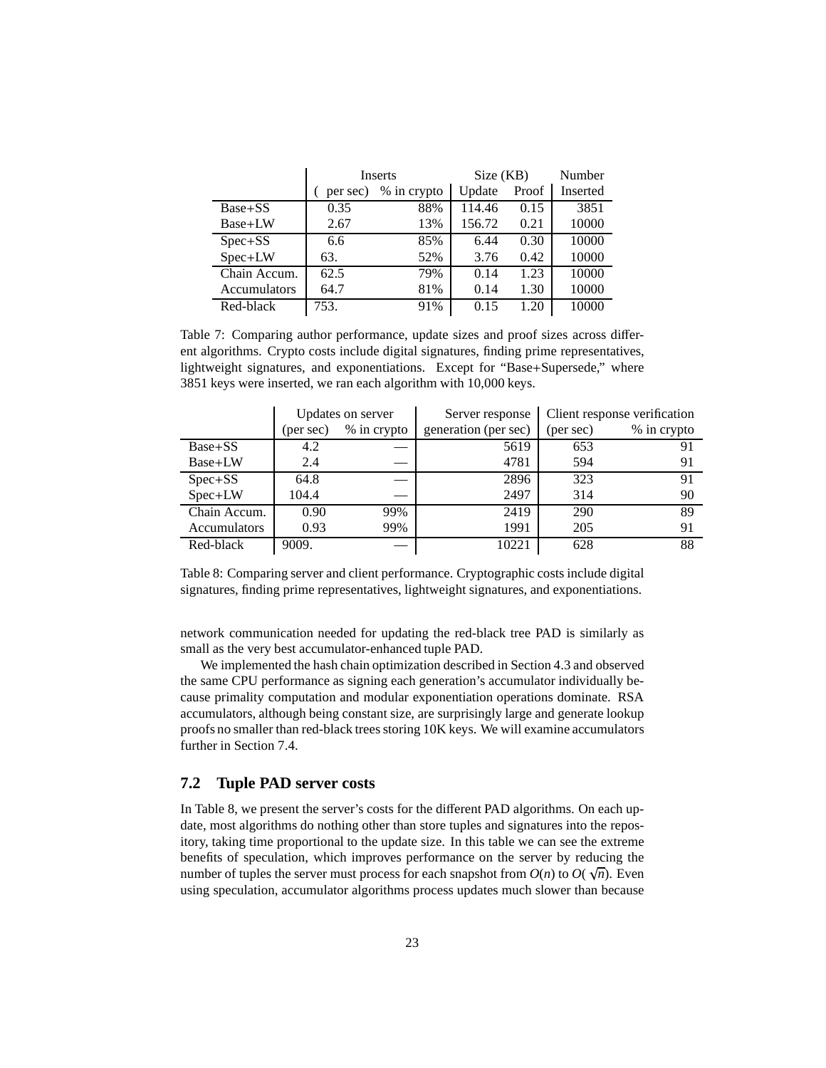|              | Inserts  |             | Size (KB) |       | Number   |
|--------------|----------|-------------|-----------|-------|----------|
|              | per sec) | % in crypto | Update    | Proof | Inserted |
| $Base+SS$    | 0.35     | 88%         | 114.46    | 0.15  | 3851     |
| Base+LW      | 2.67     | 13%         | 156.72    | 0.21  | 10000    |
| $Spec+SS$    | 6.6      | 85%         | 6.44      | 0.30  | 10000    |
| Spec+LW      | 63.      | 52%         | 3.76      | 0.42  | 10000    |
| Chain Accum. | 62.5     | 79%         | 0.14      | 1.23  | 10000    |
| Accumulators | 64.7     | 81%         | 0.14      | 1.30  | 10000    |
| Red-black    | 753.     | 91%         | 0.15      | 1.20  | 10000    |

Table 7: Comparing author performance, update sizes and proof sizes across different algorithms. Crypto costs include digital signatures, finding prime representatives, lightweight signatures, and exponentiations. Except for "Base+Supersede," where 3851 keys were inserted, we ran each algorithm with 10,000 keys.

|              | Updates on server |             | Server response      | Client response verification |             |
|--------------|-------------------|-------------|----------------------|------------------------------|-------------|
|              | (per sec)         | % in crypto | generation (per sec) | (per sec)                    | % in crypto |
| Base+SS      | 4.2               |             | 5619                 | 653                          |             |
| Base+LW      | 2.4               |             | 4781                 | 594                          | 91          |
| $Spec+SS$    | 64.8              |             | 2896                 | 323                          | 91          |
| Spec+LW      | 104.4             |             | 2497                 | 314                          | 90          |
| Chain Accum. | 0.90              | 99%         | 2419                 | 290                          | 89          |
| Accumulators | 0.93              | 99%         | 1991                 | 205                          | 91          |
| Red-black    | 9009.             |             | 10221                | 628                          | 88          |

Table 8: Comparing server and client performance. Cryptographic costs include digital signatures, finding prime representatives, lightweight signatures, and exponentiations.

network communication needed for updating the red-black tree PAD is similarly as small as the very best accumulator-enhanced tuple PAD.

We implemented the hash chain optimization described in Section 4.3 and observed the same CPU performance as signing each generation's accumulator individually because primality computation and modular exponentiation operations dominate. RSA accumulators, although being constant size, are surprisingly large and generate lookup proofs no smaller than red-black trees storing 10K keys. We will examine accumulators further in Section 7.4.

### **7.2 Tuple PAD server costs**

In Table 8, we present the server's costs for the different PAD algorithms. On each update, most algorithms do nothing other than store tuples and signatures into the repository, taking time proportional to the update size. In this table we can see the extreme benefits of speculation, which improves performance on the server by reducing the number of tuples the server must process for each snapshot from  $O(n)$  to  $O(\sqrt{n})$ . Even using speculation, accumulator algorithms process updates much slower than because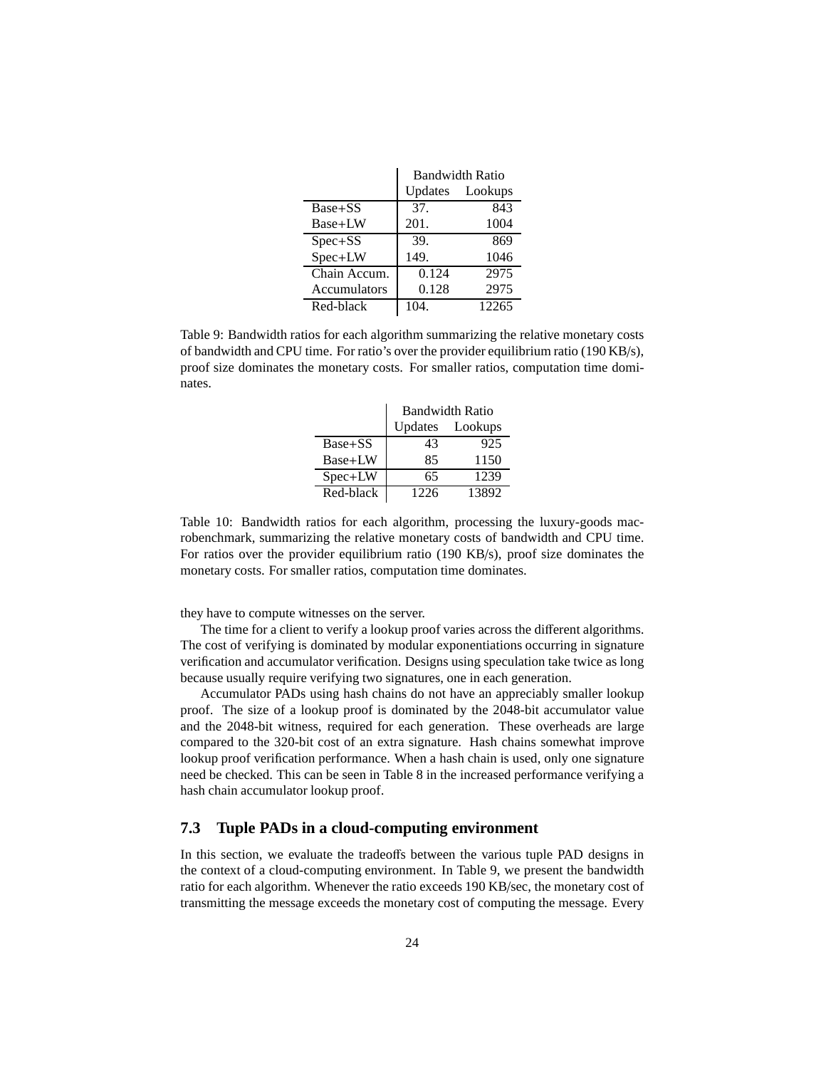|              | <b>Bandwidth Ratio</b> |         |  |
|--------------|------------------------|---------|--|
|              | Updates                | Lookups |  |
| Base+SS      | 37.                    | 843     |  |
| Base+LW      | 201.                   | 1004    |  |
| $Spec + SS$  | 39.                    | 869     |  |
| Spec+LW      | 149.                   | 1046    |  |
| Chain Accum. | 0.124                  | 2975    |  |
| Accumulators | 0.128                  | 2975    |  |
| Red-black    | 104                    | 12265   |  |

Table 9: Bandwidth ratios for each algorithm summarizing the relative monetary costs of bandwidth and CPU time. For ratio's over the provider equilibrium ratio (190 KB/s), proof size dominates the monetary costs. For smaller ratios, computation time dominates.

|           | <b>Bandwidth Ratio</b> |       |  |  |  |
|-----------|------------------------|-------|--|--|--|
|           | Updates Lookups        |       |  |  |  |
| Base+SS   | 43                     | 925   |  |  |  |
| Base+LW   | 85                     | 1150  |  |  |  |
| Spec+LW   | 65                     | 1239  |  |  |  |
| Red-black | 1226                   | 13892 |  |  |  |

Table 10: Bandwidth ratios for each algorithm, processing the luxury-goods macrobenchmark, summarizing the relative monetary costs of bandwidth and CPU time. For ratios over the provider equilibrium ratio (190 KB/s), proof size dominates the monetary costs. For smaller ratios, computation time dominates.

they have to compute witnesses on the server.

The time for a client to verify a lookup proof varies across the different algorithms. The cost of verifying is dominated by modular exponentiations occurring in signature verification and accumulator verification. Designs using speculation take twice as long because usually require verifying two signatures, one in each generation.

Accumulator PADs using hash chains do not have an appreciably smaller lookup proof. The size of a lookup proof is dominated by the 2048-bit accumulator value and the 2048-bit witness, required for each generation. These overheads are large compared to the 320-bit cost of an extra signature. Hash chains somewhat improve lookup proof verification performance. When a hash chain is used, only one signature need be checked. This can be seen in Table 8 in the increased performance verifying a hash chain accumulator lookup proof.

#### **7.3 Tuple PADs in a cloud-computing environment**

In this section, we evaluate the tradeoffs between the various tuple PAD designs in the context of a cloud-computing environment. In Table 9, we present the bandwidth ratio for each algorithm. Whenever the ratio exceeds 190 KB/sec, the monetary cost of transmitting the message exceeds the monetary cost of computing the message. Every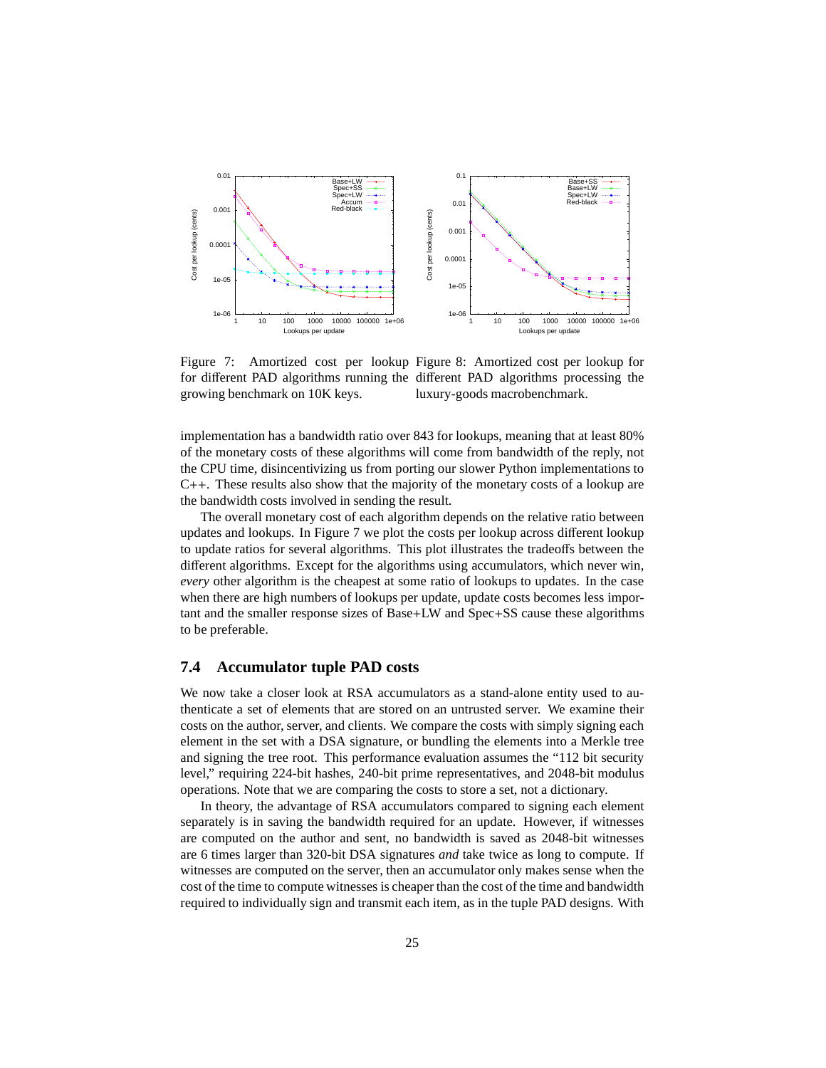

Figure 7: Amortized cost per lookup Figure 8: Amortized cost per lookup for for different PAD algorithms running the different PAD algorithms processing the growing benchmark on 10K keys. luxury-goods macrobenchmark.

implementation has a bandwidth ratio over 843 for lookups, meaning that at least 80% of the monetary costs of these algorithms will come from bandwidth of the reply, not the CPU time, disincentivizing us from porting our slower Python implementations to C++. These results also show that the majority of the monetary costs of a lookup are the bandwidth costs involved in sending the result.

The overall monetary cost of each algorithm depends on the relative ratio between updates and lookups. In Figure 7 we plot the costs per lookup across different lookup to update ratios for several algorithms. This plot illustrates the tradeoffs between the different algorithms. Except for the algorithms using accumulators, which never win, *every* other algorithm is the cheapest at some ratio of lookups to updates. In the case when there are high numbers of lookups per update, update costs becomes less important and the smaller response sizes of Base+LW and Spec+SS cause these algorithms to be preferable.

### **7.4 Accumulator tuple PAD costs**

We now take a closer look at RSA accumulators as a stand-alone entity used to authenticate a set of elements that are stored on an untrusted server. We examine their costs on the author, server, and clients. We compare the costs with simply signing each element in the set with a DSA signature, or bundling the elements into a Merkle tree and signing the tree root. This performance evaluation assumes the "112 bit security level," requiring 224-bit hashes, 240-bit prime representatives, and 2048-bit modulus operations. Note that we are comparing the costs to store a set, not a dictionary.

In theory, the advantage of RSA accumulators compared to signing each element separately is in saving the bandwidth required for an update. However, if witnesses are computed on the author and sent, no bandwidth is saved as 2048-bit witnesses are 6 times larger than 320-bit DSA signatures *and* take twice as long to compute. If witnesses are computed on the server, then an accumulator only makes sense when the cost of the time to compute witnesses is cheaper than the cost of the time and bandwidth required to individually sign and transmit each item, as in the tuple PAD designs. With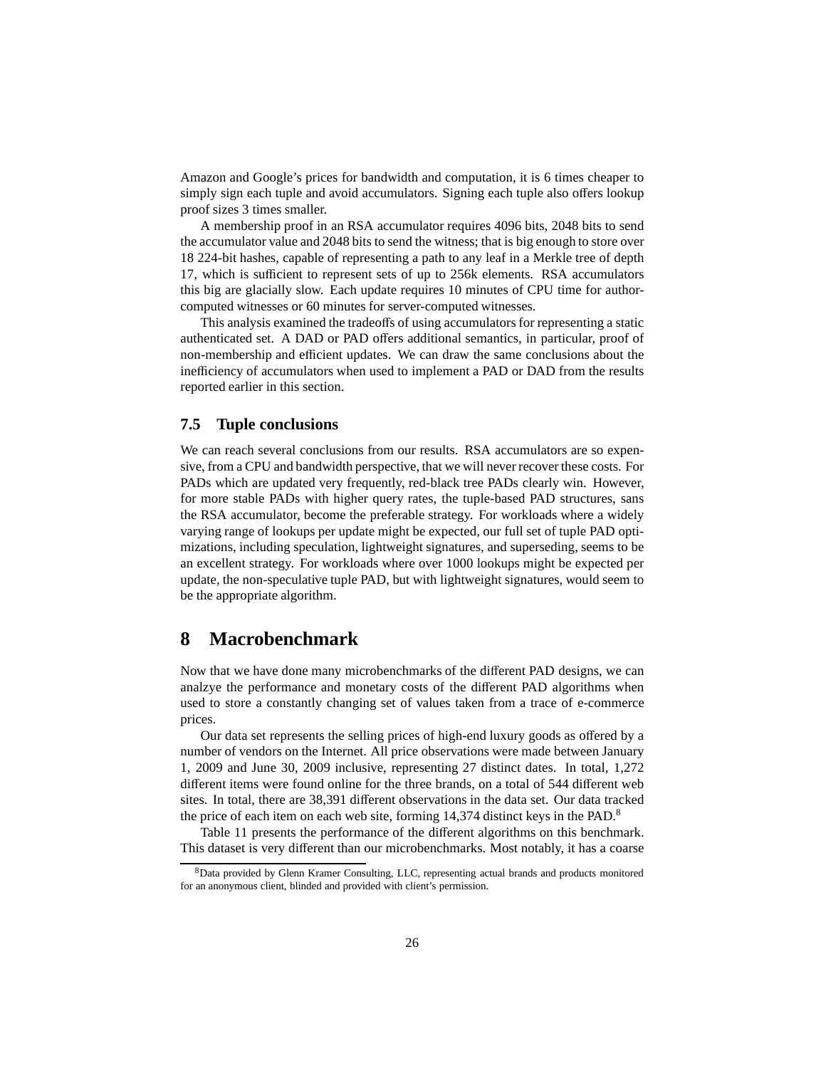Amazon and Google's prices for bandwidth and computation, it is 6 times cheaper to simply sign each tuple and avoid accumulators. Signing each tuple also offers lookup proof sizes 3 times smaller.

A membership proof in an RSA accumulator requires 4096 bits, 2048 bits to send the accumulator value and 2048 bits to send the witness; that is big enough to store over 18 224-bit hashes, capable of representing a path to any leaf in a Merkle tree of depth 17, which is sufficient to represent sets of up to 256k elements. RSA accumulators this big are glacially slow. Each update requires 10 minutes of CPU time for authorcomputed witnesses or 60 minutes for server-computed witnesses.

This analysis examined the tradeoffs of using accumulators for representing a static authenticated set. A DAD or PAD offers additional semantics, in particular, proof of non-membership and efficient updates. We can draw the same conclusions about the inefficiency of accumulators when used to implement a PAD or DAD from the results reported earlier in this section.

#### **7.5 Tuple conclusions**

We can reach several conclusions from our results. RSA accumulators are so expensive, from a CPU and bandwidth perspective, that we will never recover these costs. For PADs which are updated very frequently, red-black tree PADs clearly win. However, for more stable PADs with higher query rates, the tuple-based PAD structures, sans the RSA accumulator, become the preferable strategy. For workloads where a widely varying range of lookups per update might be expected, our full set of tuple PAD optimizations, including speculation, lightweight signatures, and superseding, seems to be an excellent strategy. For workloads where over 1000 lookups might be expected per update, the non-speculative tuple PAD, but with lightweight signatures, would seem to be the appropriate algorithm.

# **8 Macrobenchmark**

Now that we have done many microbenchmarks of the different PAD designs, we can analzye the performance and monetary costs of the different PAD algorithms when used to store a constantly changing set of values taken from a trace of e-commerce prices.

Our data set represents the selling prices of high-end luxury goods as offered by a number of vendors on the Internet. All price observations were made between January 1, 2009 and June 30, 2009 inclusive, representing 27 distinct dates. In total, 1,272 different items were found online for the three brands, on a total of 544 different web sites. In total, there are 38,391 different observations in the data set. Our data tracked the price of each item on each web site, forming 14,374 distinct keys in the PAD.<sup>8</sup>

Table 11 presents the performance of the different algorithms on this benchmark. This dataset is very different than our microbenchmarks. Most notably, it has a coarse

<sup>8</sup>Data provided by Glenn Kramer Consulting, LLC, representing actual brands and products monitored for an anonymous client, blinded and provided with client's permission.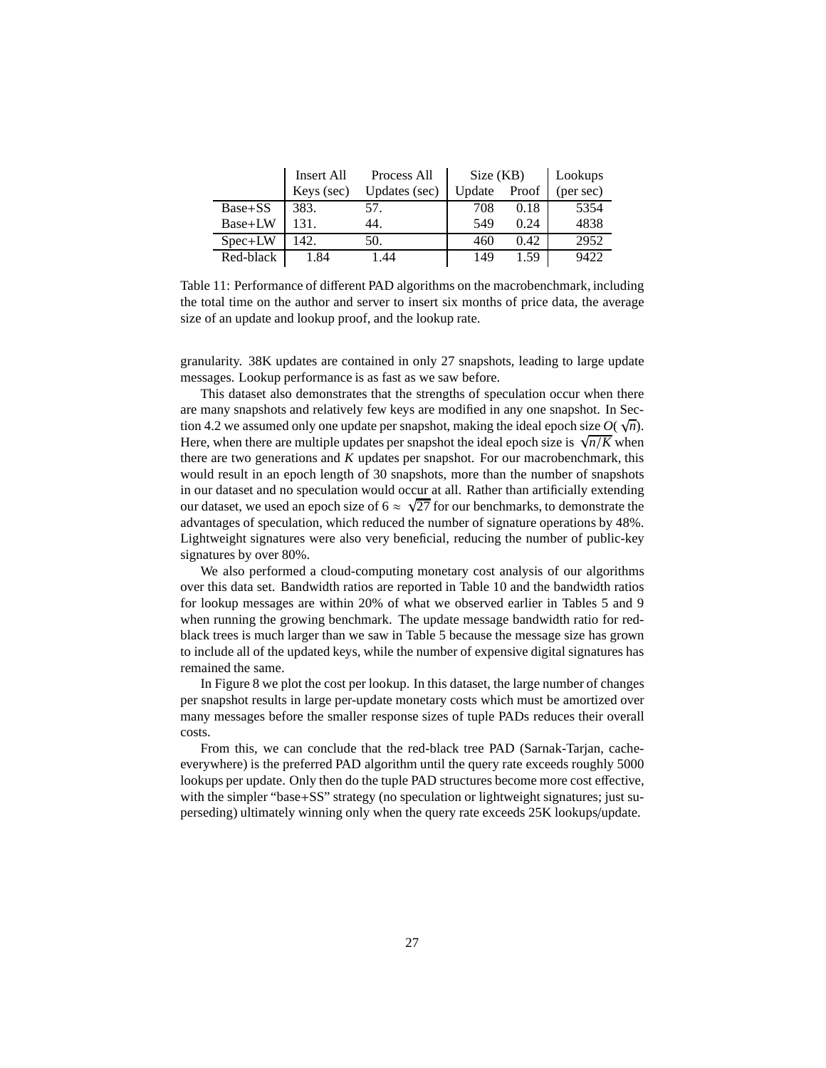|           | <b>Insert All</b> | Process All   | Size (KB) |       | Lookups   |
|-----------|-------------------|---------------|-----------|-------|-----------|
|           | Keys (sec)        | Updates (sec) | Update    | Proof | (per sec) |
| Base+SS   | 383.              | 57.           | 708       | 0.18  | 5354      |
| Base+LW   | 131.              | 44.           | 549       | 0.24  | 4838      |
| $Spec+LW$ | 142.              | 50.           | 460       | 0.42  | 2952      |
| Red-black | 1.84              | 1.44          | 149       | 1.59  | 9422      |

Table 11: Performance of different PAD algorithms on the macrobenchmark, including the total time on the author and server to insert six months of price data, the average size of an update and lookup proof, and the lookup rate.

granularity. 38K updates are contained in only 27 snapshots, leading to large update messages. Lookup performance is as fast as we saw before.

This dataset also demonstrates that the strengths of speculation occur when there are many snapshots and relatively few keys are modified in any one snapshot. In Section 4.2 we assumed only one update per snapshot, making the ideal epoch size  $O(\sqrt{n})$ . Here, when there are multiple updates per snapshot the ideal epoch size is  $\sqrt{n/K}$  when there are two generations and *K* updates per snapshot. For our macrobenchmark, this would result in an epoch length of 30 snapshots, more than the number of snapshots in our dataset and no speculation would occur at all. Rather than artificially extending our dataset and no opportunities we used an epoch size of  $6 \approx \sqrt{27}$  for our benchmarks, to demonstrate the advantages of speculation, which reduced the number of signature operations by 48%. Lightweight signatures were also very beneficial, reducing the number of public-key signatures by over 80%.

We also performed a cloud-computing monetary cost analysis of our algorithms over this data set. Bandwidth ratios are reported in Table 10 and the bandwidth ratios for lookup messages are within 20% of what we observed earlier in Tables 5 and 9 when running the growing benchmark. The update message bandwidth ratio for redblack trees is much larger than we saw in Table 5 because the message size has grown to include all of the updated keys, while the number of expensive digital signatures has remained the same.

In Figure 8 we plot the cost per lookup. In this dataset, the large number of changes per snapshot results in large per-update monetary costs which must be amortized over many messages before the smaller response sizes of tuple PADs reduces their overall costs.

From this, we can conclude that the red-black tree PAD (Sarnak-Tarjan, cacheeverywhere) is the preferred PAD algorithm until the query rate exceeds roughly 5000 lookups per update. Only then do the tuple PAD structures become more cost effective, with the simpler "base+SS" strategy (no speculation or lightweight signatures; just superseding) ultimately winning only when the query rate exceeds 25K lookups/update.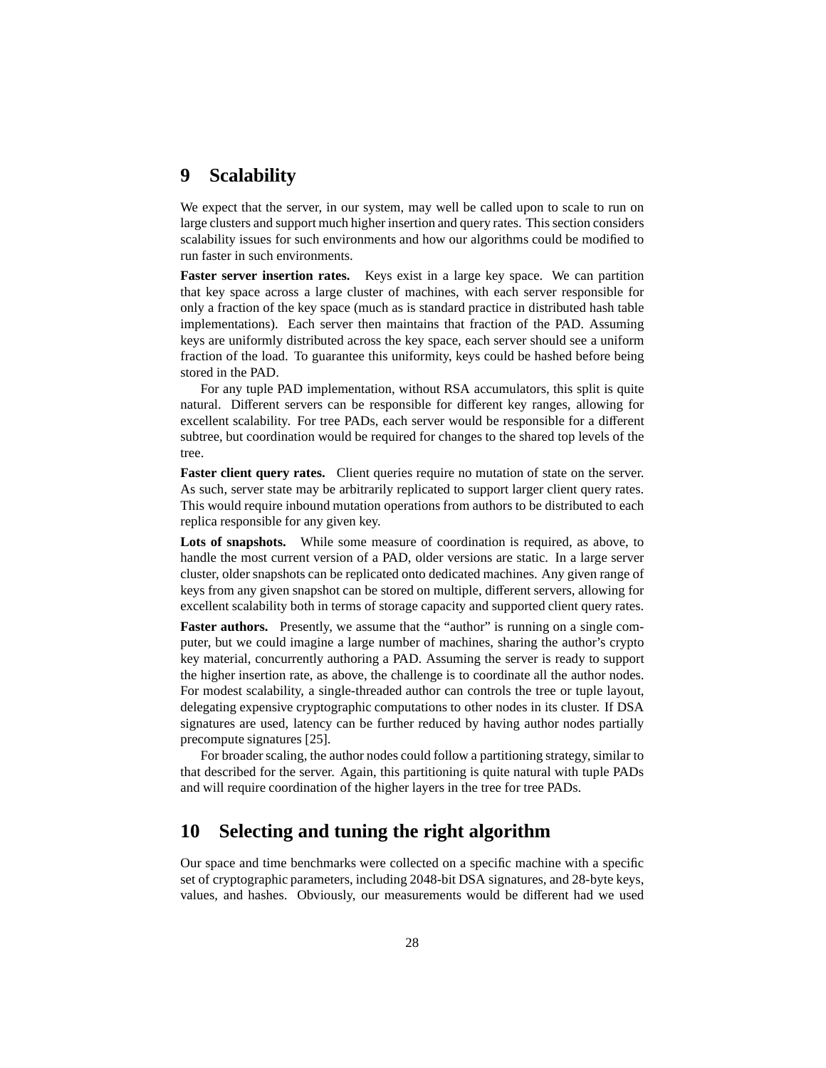# **9 Scalability**

We expect that the server, in our system, may well be called upon to scale to run on large clusters and support much higher insertion and query rates. This section considers scalability issues for such environments and how our algorithms could be modified to run faster in such environments.

**Faster server insertion rates.** Keys exist in a large key space. We can partition that key space across a large cluster of machines, with each server responsible for only a fraction of the key space (much as is standard practice in distributed hash table implementations). Each server then maintains that fraction of the PAD. Assuming keys are uniformly distributed across the key space, each server should see a uniform fraction of the load. To guarantee this uniformity, keys could be hashed before being stored in the PAD.

For any tuple PAD implementation, without RSA accumulators, this split is quite natural. Different servers can be responsible for different key ranges, allowing for excellent scalability. For tree PADs, each server would be responsible for a different subtree, but coordination would be required for changes to the shared top levels of the tree.

**Faster client query rates.** Client queries require no mutation of state on the server. As such, server state may be arbitrarily replicated to support larger client query rates. This would require inbound mutation operations from authors to be distributed to each replica responsible for any given key.

Lots of snapshots. While some measure of coordination is required, as above, to handle the most current version of a PAD, older versions are static. In a large server cluster, older snapshots can be replicated onto dedicated machines. Any given range of keys from any given snapshot can be stored on multiple, different servers, allowing for excellent scalability both in terms of storage capacity and supported client query rates.

Faster authors. Presently, we assume that the "author" is running on a single computer, but we could imagine a large number of machines, sharing the author's crypto key material, concurrently authoring a PAD. Assuming the server is ready to support the higher insertion rate, as above, the challenge is to coordinate all the author nodes. For modest scalability, a single-threaded author can controls the tree or tuple layout, delegating expensive cryptographic computations to other nodes in its cluster. If DSA signatures are used, latency can be further reduced by having author nodes partially precompute signatures [25].

For broader scaling, the author nodes could follow a partitioning strategy, similar to that described for the server. Again, this partitioning is quite natural with tuple PADs and will require coordination of the higher layers in the tree for tree PADs.

# **10 Selecting and tuning the right algorithm**

Our space and time benchmarks were collected on a specific machine with a specific set of cryptographic parameters, including 2048-bit DSA signatures, and 28-byte keys, values, and hashes. Obviously, our measurements would be different had we used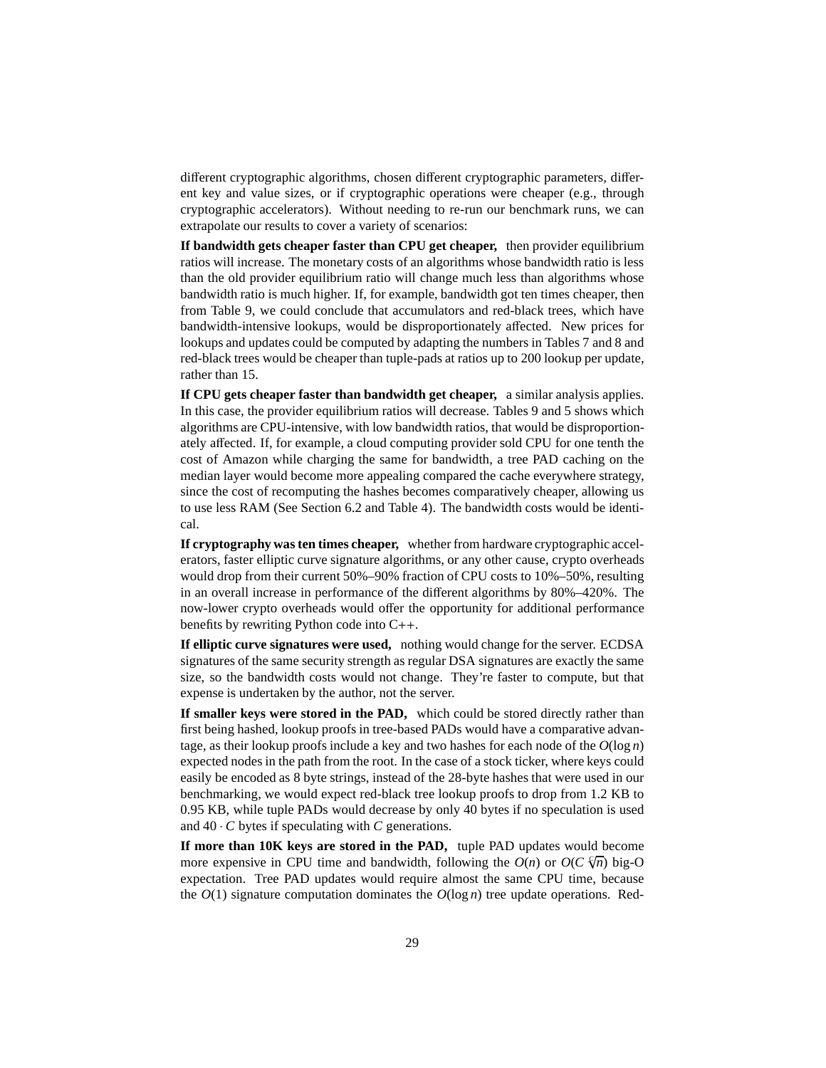different cryptographic algorithms, chosen different cryptographic parameters, different key and value sizes, or if cryptographic operations were cheaper (e.g., through cryptographic accelerators). Without needing to re-run our benchmark runs, we can extrapolate our results to cover a variety of scenarios:

**If bandwidth gets cheaper faster than CPU get cheaper,** then provider equilibrium ratios will increase. The monetary costs of an algorithms whose bandwidth ratio is less than the old provider equilibrium ratio will change much less than algorithms whose bandwidth ratio is much higher. If, for example, bandwidth got ten times cheaper, then from Table 9, we could conclude that accumulators and red-black trees, which have bandwidth-intensive lookups, would be disproportionately affected. New prices for lookups and updates could be computed by adapting the numbers in Tables 7 and 8 and red-black trees would be cheaper than tuple-pads at ratios up to 200 lookup per update, rather than 15.

**If CPU gets cheaper faster than bandwidth get cheaper,** a similar analysis applies. In this case, the provider equilibrium ratios will decrease. Tables 9 and 5 shows which algorithms are CPU-intensive, with low bandwidth ratios, that would be disproportionately affected. If, for example, a cloud computing provider sold CPU for one tenth the cost of Amazon while charging the same for bandwidth, a tree PAD caching on the median layer would become more appealing compared the cache everywhere strategy, since the cost of recomputing the hashes becomes comparatively cheaper, allowing us to use less RAM (See Section 6.2 and Table 4). The bandwidth costs would be identical.

**If cryptography was ten times cheaper,** whether from hardware cryptographic accelerators, faster elliptic curve signature algorithms, or any other cause, crypto overheads would drop from their current 50%–90% fraction of CPU costs to 10%–50%, resulting in an overall increase in performance of the different algorithms by 80%–420%. The now-lower crypto overheads would offer the opportunity for additional performance benefits by rewriting Python code into C++.

**If elliptic curve signatures were used,** nothing would change for the server. ECDSA signatures of the same security strength as regular DSA signatures are exactly the same size, so the bandwidth costs would not change. They're faster to compute, but that expense is undertaken by the author, not the server.

**If smaller keys were stored in the PAD,** which could be stored directly rather than first being hashed, lookup proofs in tree-based PADs would have a comparative advantage, as their lookup proofs include a key and two hashes for each node of the  $O(\log n)$ expected nodes in the path from the root. In the case of a stock ticker, where keys could easily be encoded as 8 byte strings, instead of the 28-byte hashes that were used in our benchmarking, we would expect red-black tree lookup proofs to drop from 1.2 KB to 0.95 KB, while tuple PADs would decrease by only 40 bytes if no speculation is used and  $40 \cdot C$  bytes if speculating with *C* generations.

**If more than 10K keys are stored in the PAD,** tuple PAD updates would become more expensive in CPU time and bandwidth, following the  $O(n)$  or  $O(C \sqrt[n]{n})$  big-O expectation. Tree PAD updates would require almost the same CPU time, because the  $O(1)$  signature computation dominates the  $O(\log n)$  tree update operations. Red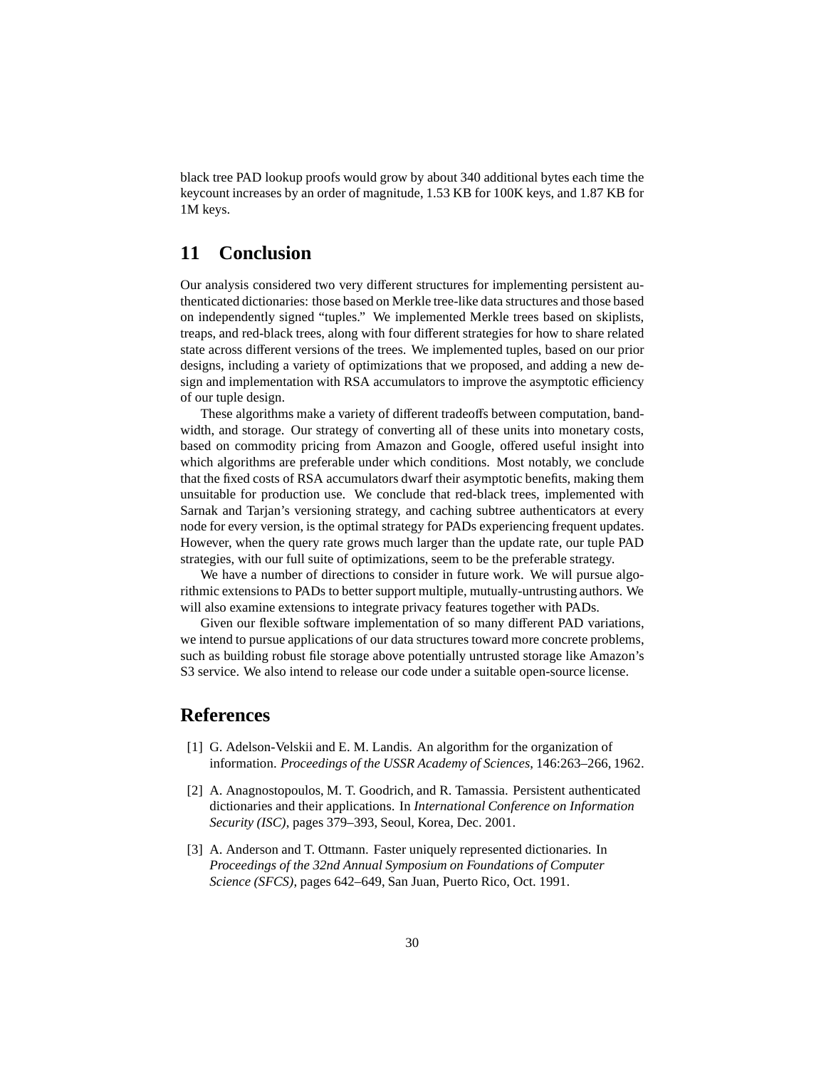black tree PAD lookup proofs would grow by about 340 additional bytes each time the keycount increases by an order of magnitude, 1.53 KB for 100K keys, and 1.87 KB for 1M keys.

# **11 Conclusion**

Our analysis considered two very different structures for implementing persistent authenticated dictionaries: those based on Merkle tree-like data structures and those based on independently signed "tuples." We implemented Merkle trees based on skiplists, treaps, and red-black trees, along with four different strategies for how to share related state across different versions of the trees. We implemented tuples, based on our prior designs, including a variety of optimizations that we proposed, and adding a new design and implementation with RSA accumulators to improve the asymptotic efficiency of our tuple design.

These algorithms make a variety of different tradeoffs between computation, bandwidth, and storage. Our strategy of converting all of these units into monetary costs, based on commodity pricing from Amazon and Google, offered useful insight into which algorithms are preferable under which conditions. Most notably, we conclude that the fixed costs of RSA accumulators dwarf their asymptotic benefits, making them unsuitable for production use. We conclude that red-black trees, implemented with Sarnak and Tarjan's versioning strategy, and caching subtree authenticators at every node for every version, is the optimal strategy for PADs experiencing frequent updates. However, when the query rate grows much larger than the update rate, our tuple PAD strategies, with our full suite of optimizations, seem to be the preferable strategy.

We have a number of directions to consider in future work. We will pursue algorithmic extensions to PADs to better support multiple, mutually-untrusting authors. We will also examine extensions to integrate privacy features together with PADs.

Given our flexible software implementation of so many different PAD variations, we intend to pursue applications of our data structures toward more concrete problems, such as building robust file storage above potentially untrusted storage like Amazon's S3 service. We also intend to release our code under a suitable open-source license.

# **References**

- [1] G. Adelson-Velskii and E. M. Landis. An algorithm for the organization of information. *Proceedings of the USSR Academy of Sciences*, 146:263–266, 1962.
- [2] A. Anagnostopoulos, M. T. Goodrich, and R. Tamassia. Persistent authenticated dictionaries and their applications. In *International Conference on Information Security (ISC)*, pages 379–393, Seoul, Korea, Dec. 2001.
- [3] A. Anderson and T. Ottmann. Faster uniquely represented dictionaries. In *Proceedings of the 32nd Annual Symposium on Foundations of Computer Science (SFCS)*, pages 642–649, San Juan, Puerto Rico, Oct. 1991.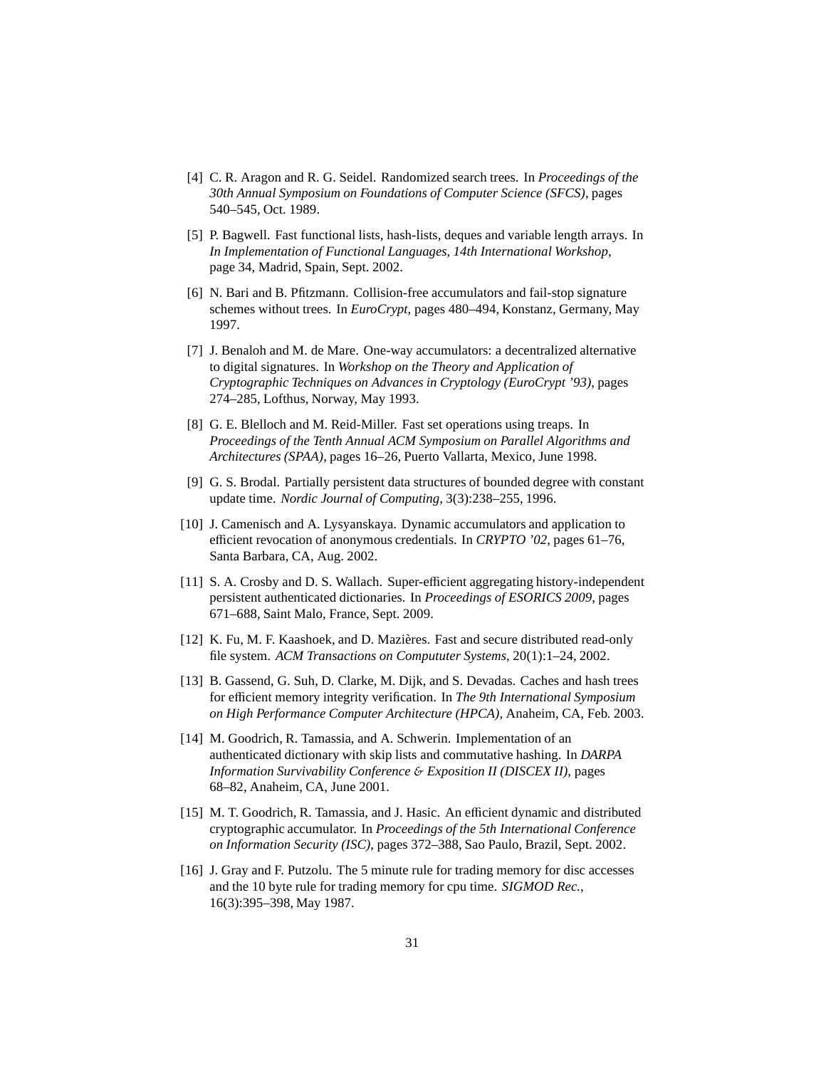- [4] C. R. Aragon and R. G. Seidel. Randomized search trees. In *Proceedings of the 30th Annual Symposium on Foundations of Computer Science (SFCS)*, pages 540–545, Oct. 1989.
- [5] P. Bagwell. Fast functional lists, hash-lists, deques and variable length arrays. In *In Implementation of Functional Languages, 14th International Workshop*, page 34, Madrid, Spain, Sept. 2002.
- [6] N. Bari and B. Pfitzmann. Collision-free accumulators and fail-stop signature schemes without trees. In *EuroCrypt*, pages 480–494, Konstanz, Germany, May 1997.
- [7] J. Benaloh and M. de Mare. One-way accumulators: a decentralized alternative to digital signatures. In *Workshop on the Theory and Application of Cryptographic Techniques on Advances in Cryptology (EuroCrypt '93)*, pages 274–285, Lofthus, Norway, May 1993.
- [8] G. E. Blelloch and M. Reid-Miller. Fast set operations using treaps. In *Proceedings of the Tenth Annual ACM Symposium on Parallel Algorithms and Architectures (SPAA)*, pages 16–26, Puerto Vallarta, Mexico, June 1998.
- [9] G. S. Brodal. Partially persistent data structures of bounded degree with constant update time. *Nordic Journal of Computing*, 3(3):238–255, 1996.
- [10] J. Camenisch and A. Lysyanskaya. Dynamic accumulators and application to efficient revocation of anonymous credentials. In *CRYPTO '02*, pages 61–76, Santa Barbara, CA, Aug. 2002.
- [11] S. A. Crosby and D. S. Wallach. Super-efficient aggregating history-independent persistent authenticated dictionaries. In *Proceedings of ESORICS 2009*, pages 671–688, Saint Malo, France, Sept. 2009.
- [12] K. Fu, M. F. Kaashoek, and D. Mazières. Fast and secure distributed read-only file system. *ACM Transactions on Compututer Systems*, 20(1):1–24, 2002.
- [13] B. Gassend, G. Suh, D. Clarke, M. Dijk, and S. Devadas. Caches and hash trees for efficient memory integrity verification. In *The 9th International Symposium on High Performance Computer Architecture (HPCA)*, Anaheim, CA, Feb. 2003.
- [14] M. Goodrich, R. Tamassia, and A. Schwerin. Implementation of an authenticated dictionary with skip lists and commutative hashing. In *DARPA Information Survivability Conference* & *Exposition II (DISCEX II)*, pages 68–82, Anaheim, CA, June 2001.
- [15] M. T. Goodrich, R. Tamassia, and J. Hasic. An efficient dynamic and distributed cryptographic accumulator. In *Proceedings of the 5th International Conference on Information Security (ISC)*, pages 372–388, Sao Paulo, Brazil, Sept. 2002.
- [16] J. Gray and F. Putzolu. The 5 minute rule for trading memory for disc accesses and the 10 byte rule for trading memory for cpu time. *SIGMOD Rec.*, 16(3):395–398, May 1987.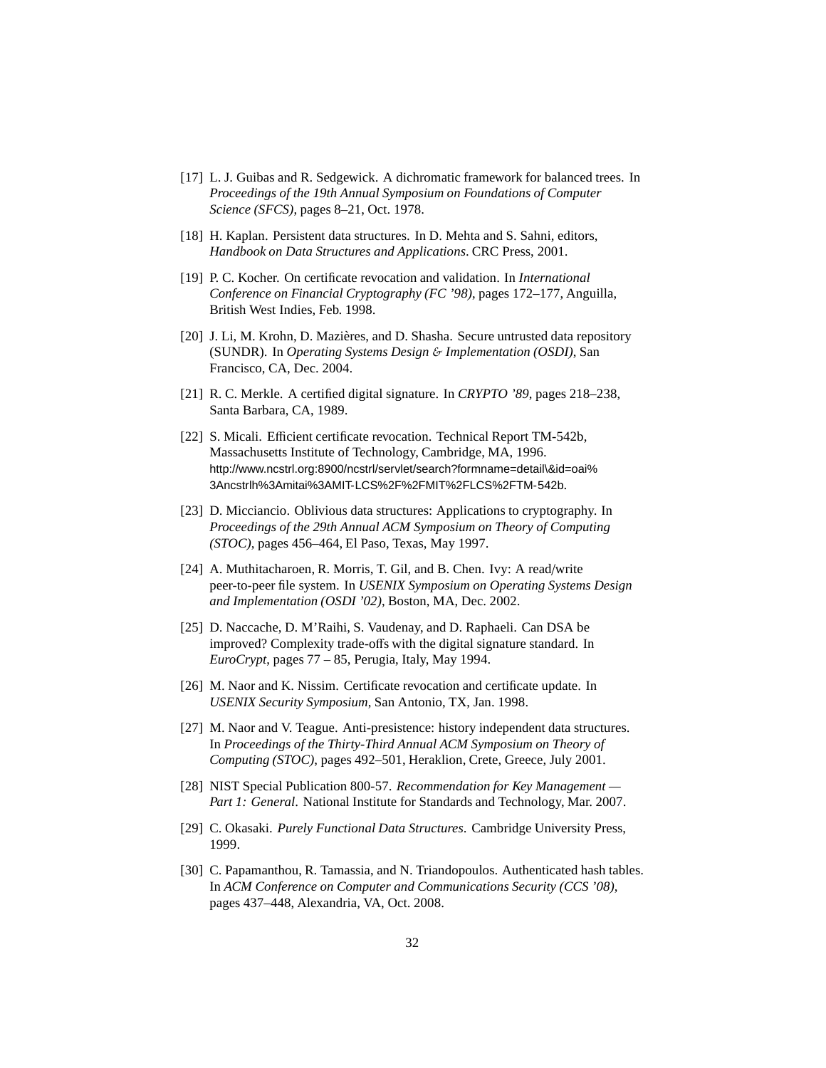- [17] L. J. Guibas and R. Sedgewick. A dichromatic framework for balanced trees. In *Proceedings of the 19th Annual Symposium on Foundations of Computer Science (SFCS)*, pages 8–21, Oct. 1978.
- [18] H. Kaplan. Persistent data structures. In D. Mehta and S. Sahni, editors, *Handbook on Data Structures and Applications*. CRC Press, 2001.
- [19] P. C. Kocher. On certificate revocation and validation. In *International Conference on Financial Cryptography (FC '98)*, pages 172–177, Anguilla, British West Indies, Feb. 1998.
- [20] J. Li, M. Krohn, D. Mazières, and D. Shasha. Secure untrusted data repository (SUNDR). In *Operating Systems Design* & *Implementation (OSDI)*, San Francisco, CA, Dec. 2004.
- [21] R. C. Merkle. A certified digital signature. In *CRYPTO '89*, pages 218–238, Santa Barbara, CA, 1989.
- [22] S. Micali. Efficient certificate revocation. Technical Report TM-542b, Massachusetts Institute of Technology, Cambridge, MA, 1996. http://www.ncstrl.org:8900/ncstrl/servlet/search?formname=detail\&id=oai% 3Ancstrlh%3Amitai%3AMIT-LCS%2F%2FMIT%2FLCS%2FTM-542b.
- [23] D. Micciancio. Oblivious data structures: Applications to cryptography. In *Proceedings of the 29th Annual ACM Symposium on Theory of Computing (STOC)*, pages 456–464, El Paso, Texas, May 1997.
- [24] A. Muthitacharoen, R. Morris, T. Gil, and B. Chen. Ivy: A read/write peer-to-peer file system. In *USENIX Symposium on Operating Systems Design and Implementation (OSDI '02)*, Boston, MA, Dec. 2002.
- [25] D. Naccache, D. M'Raihi, S. Vaudenay, and D. Raphaeli. Can DSA be improved? Complexity trade-offs with the digital signature standard. In *EuroCrypt*, pages 77 – 85, Perugia, Italy, May 1994.
- [26] M. Naor and K. Nissim. Certificate revocation and certificate update. In *USENIX Security Symposium*, San Antonio, TX, Jan. 1998.
- [27] M. Naor and V. Teague. Anti-presistence: history independent data structures. In *Proceedings of the Thirty-Third Annual ACM Symposium on Theory of Computing (STOC)*, pages 492–501, Heraklion, Crete, Greece, July 2001.
- [28] NIST Special Publication 800-57. *Recommendation for Key Management — Part 1: General*. National Institute for Standards and Technology, Mar. 2007.
- [29] C. Okasaki. *Purely Functional Data Structures*. Cambridge University Press, 1999.
- [30] C. Papamanthou, R. Tamassia, and N. Triandopoulos. Authenticated hash tables. In *ACM Conference on Computer and Communications Security (CCS '08)*, pages 437–448, Alexandria, VA, Oct. 2008.